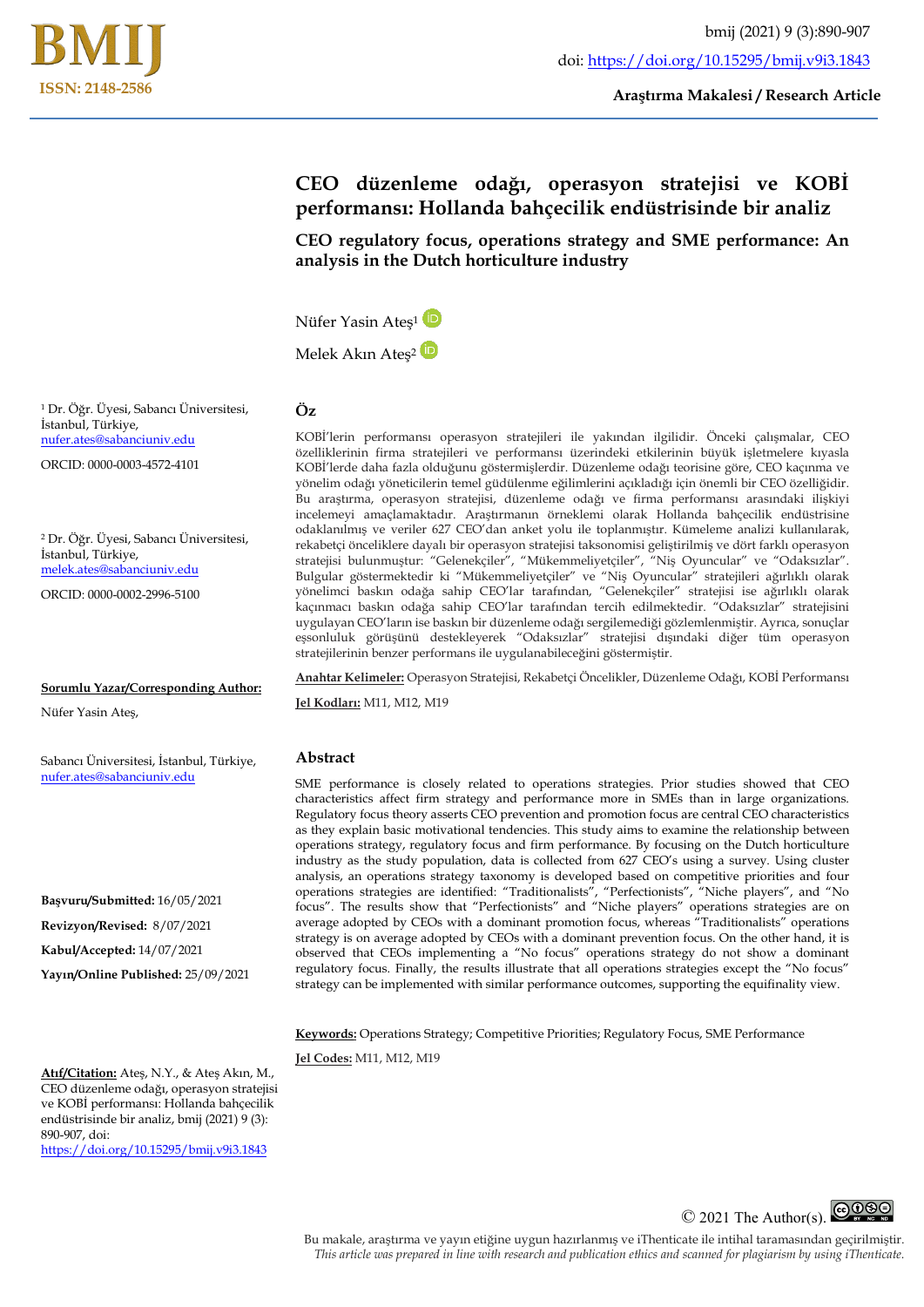

**Araştırma Makalesi / Research Article**

# **CEO düzenleme odağı, operasyon stratejisi ve KOBİ performansı: Hollanda bahçecilik endüstrisinde bir analiz**

**CEO regulatory focus, operations strategy and SME performance: An analysis in the Dutch horticulture industry**

Nüfer Yasin Ates<sup>1</sup><sup>(D</sup>

Melek Akın Ateş<sup>2</sup><sup>(i)</sup>

**Öz**

<sup>1</sup> Dr. Öğr. Üyesi, Sabancı Üniversitesi, İstanbul, Türkiye, [nufer.ates@sabanciuniv.edu](mailto:nufer.ates@sabanciuniv.edu)

ORCID: 0000-0003-4572-4101

<sup>2</sup> Dr. Öğr. Üyesi, Sabancı Üniversitesi, İstanbul, Türkiye, [melek.ates@sabanciuniv.edu](mailto:melek.ates@sabanciuniv.edu)

ORCID: 0000-0002-2996-5100

#### **Sorumlu Yazar/Corresponding Author:**

Nüfer Yasin Ateş,

Sabancı Üniversitesi, İstanbul, Türkiye, [nufer.ates@sabanciuniv.edu](mailto:nufer.ates@sabanciuniv.edu)

**Başvuru/Submitted:** 16/05/2021

**Revizyon/Revised:** 8/07/2021

**Kabul/Accepted:** 14/07/2021

**Yayın/Online Published:** 25/09/2021

KOBİ'lerin performansı operasyon stratejileri ile yakından ilgilidir. Önceki çalışmalar, CEO özelliklerinin firma stratejileri ve performansı üzerindeki etkilerinin büyük işletmelere kıyasla KOBİ'lerde daha fazla olduğunu göstermişlerdir. Düzenleme odağı teorisine göre, CEO kaçınma ve yönelim odağı yöneticilerin temel güdülenme eğilimlerini açıkladığı için önemli bir CEO özelliğidir. Bu araştırma, operasyon stratejisi, düzenleme odağı ve firma performansı arasındaki ilişkiyi incelemeyi amaçlamaktadır. Araştırmanın örneklemi olarak Hollanda bahçecilik endüstrisine odaklanılmış ve veriler 627 CEO'dan anket yolu ile toplanmıştır. Kümeleme analizi kullanılarak, rekabetçi önceliklere dayalı bir operasyon stratejisi taksonomisi geliştirilmiş ve dört farklı operasyon stratejisi bulunmuştur: "Gelenekçiler", "Mükemmeliyetçiler", "Niş Oyuncular" ve "Odaksızlar". Bulgular göstermektedir ki "Mükemmeliyetçiler" ve "Niş Oyuncular" stratejileri ağırlıklı olarak yönelimci baskın odağa sahip CEO'lar tarafından, "Gelenekçiler" stratejisi ise ağırlıklı olarak kaçınmacı baskın odağa sahip CEO'lar tarafından tercih edilmektedir. "Odaksızlar" stratejisini uygulayan CEO'ların ise baskın bir düzenleme odağı sergilemediği gözlemlenmiştir. Ayrıca, sonuçlar eşsonluluk görüşünü destekleyerek "Odaksızlar" stratejisi dışındaki diğer tüm operasyon stratejilerinin benzer performans ile uygulanabileceğini göstermiştir.

**Anahtar Kelimeler:** Operasyon Stratejisi, Rekabetçi Öncelikler, Düzenleme Odağı, KOBİ Performansı

**Jel Kodları:** M11, M12, M19

#### **Abstract**

SME performance is closely related to operations strategies. Prior studies showed that CEO characteristics affect firm strategy and performance more in SMEs than in large organizations. Regulatory focus theory asserts CEO prevention and promotion focus are central CEO characteristics as they explain basic motivational tendencies. This study aims to examine the relationship between operations strategy, regulatory focus and firm performance. By focusing on the Dutch horticulture industry as the study population, data is collected from 627 CEO's using a survey. Using cluster analysis, an operations strategy taxonomy is developed based on competitive priorities and four operations strategies are identified: "Traditionalists", "Perfectionists", "Niche players", and "No focus". The results show that "Perfectionists" and "Niche players" operations strategies are on average adopted by CEOs with a dominant promotion focus, whereas "Traditionalists" operations strategy is on average adopted by CEOs with a dominant prevention focus. On the other hand, it is observed that CEOs implementing a "No focus" operations strategy do not show a dominant regulatory focus. Finally, the results illustrate that all operations strategies except the "No focus" strategy can be implemented with similar performance outcomes, supporting the equifinality view.

**Keywords:** Operations Strategy; Competitive Priorities; Regulatory Focus, SME Performance

**Jel Codes:** M11, M12, M19

**Atıf/Citation:** Ateş, N.Y., & Ateş Akın, M., CEO düzenleme odağı, operasyon stratejisi ve KOBİ performansı: Hollanda bahçecilik endüstrisinde bir analiz, bmij (2021) 9 (3): 890-907, doi: <https://doi.org/10.15295/bmij.v9i3.1843>

 $\odot$ 2021 The Author(s).  $\bigodot_{w} \bigodot_{w} \bigodot_{w}$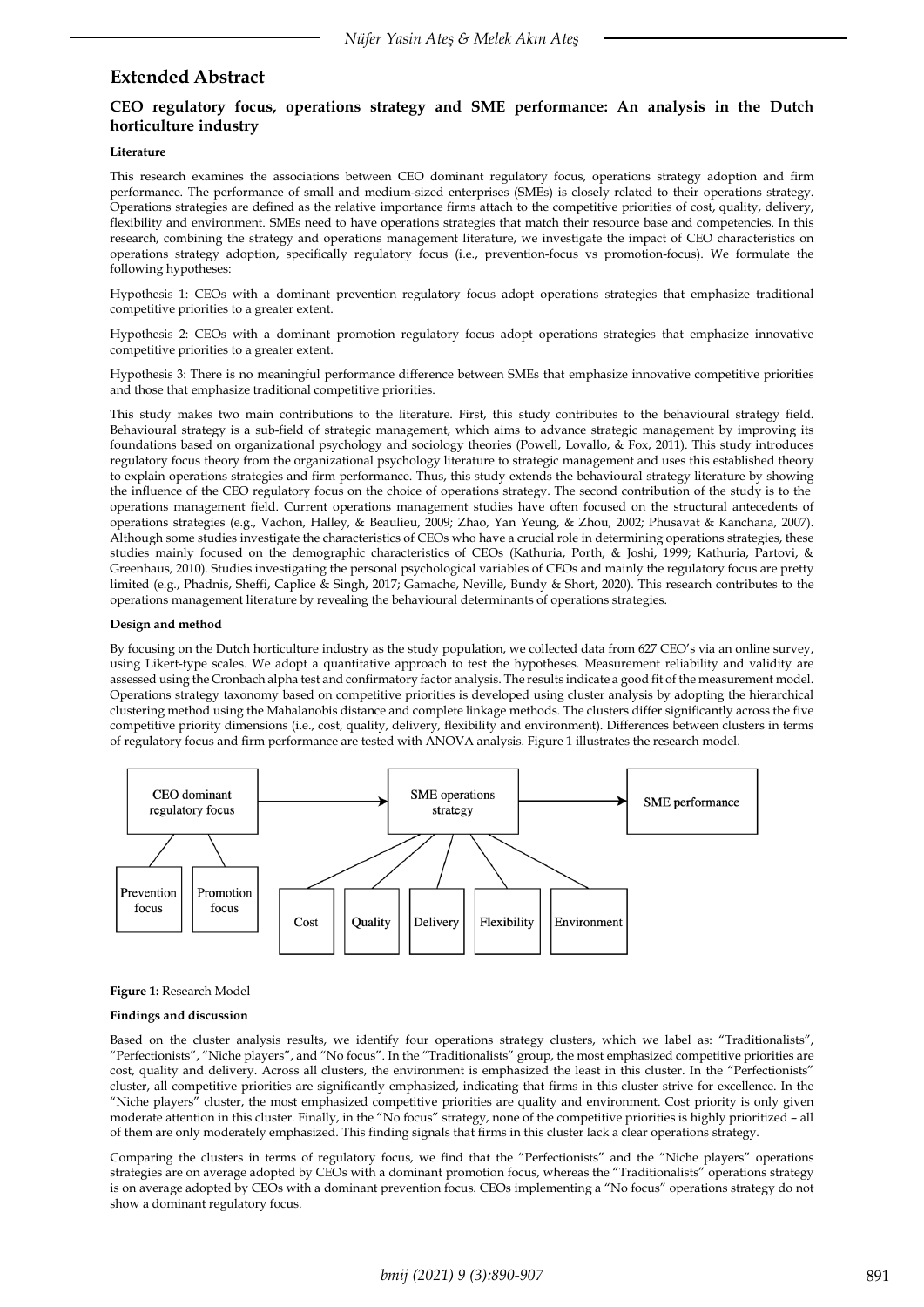## **Extended Abstract**

#### **CEO regulatory focus, operations strategy and SME performance: An analysis in the Dutch horticulture industry**

#### **Literature**

This research examines the associations between CEO dominant regulatory focus, operations strategy adoption and firm performance. The performance of small and medium-sized enterprises (SMEs) is closely related to their operations strategy. Operations strategies are defined as the relative importance firms attach to the competitive priorities of cost, quality, delivery, flexibility and environment. SMEs need to have operations strategies that match their resource base and competencies. In this research, combining the strategy and operations management literature, we investigate the impact of CEO characteristics on operations strategy adoption, specifically regulatory focus (i.e., prevention-focus vs promotion-focus). We formulate the following hypotheses:

Hypothesis 1: CEOs with a dominant prevention regulatory focus adopt operations strategies that emphasize traditional competitive priorities to a greater extent.

Hypothesis 2: CEOs with a dominant promotion regulatory focus adopt operations strategies that emphasize innovative competitive priorities to a greater extent.

Hypothesis 3: There is no meaningful performance difference between SMEs that emphasize innovative competitive priorities and those that emphasize traditional competitive priorities.

This study makes two main contributions to the literature. First, this study contributes to the behavioural strategy field. Behavioural strategy is a sub-field of strategic management, which aims to advance strategic management by improving its foundations based on organizational psychology and sociology theories (Powell, Lovallo, & Fox, 2011). This study introduces regulatory focus theory from the organizational psychology literature to strategic management and uses this established theory to explain operations strategies and firm performance. Thus, this study extends the behavioural strategy literature by showing the influence of the CEO regulatory focus on the choice of operations strategy. The second contribution of the study is to the operations management field. Current operations management studies have often focused on the structural antecedents of operations strategies (e.g., Vachon, Halley, & Beaulieu, 2009; Zhao, Yan Yeung, & Zhou, 2002; Phusavat & Kanchana, 2007). Although some studies investigate the characteristics of CEOs who have a crucial role in determining operations strategies, these studies mainly focused on the demographic characteristics of CEOs (Kathuria, Porth, & Joshi, 1999; Kathuria, Partovi, & Greenhaus, 2010). Studies investigating the personal psychological variables of CEOs and mainly the regulatory focus are pretty limited (e.g., Phadnis, Sheffi, Caplice & Singh, 2017; Gamache, Neville, Bundy & Short, 2020). This research contributes to the operations management literature by revealing the behavioural determinants of operations strategies.

#### **Design and method**

By focusing on the Dutch horticulture industry as the study population, we collected data from 627 CEO's via an online survey, using Likert-type scales. We adopt a quantitative approach to test the hypotheses. Measurement reliability and validity are assessed using the Cronbach alpha test and confirmatory factor analysis. The results indicate a good fit of the measurement model. Operations strategy taxonomy based on competitive priorities is developed using cluster analysis by adopting the hierarchical clustering method using the Mahalanobis distance and complete linkage methods. The clusters differ significantly across the five competitive priority dimensions (i.e., cost, quality, delivery, flexibility and environment). Differences between clusters in terms of regulatory focus and firm performance are tested with ANOVA analysis. Figure 1 illustrates the research model.



#### **Figure 1:** Research Model

#### **Findings and discussion**

Based on the cluster analysis results, we identify four operations strategy clusters, which we label as: "Traditionalists", "Perfectionists", "Niche players", and "No focus". In the "Traditionalists" group, the most emphasized competitive priorities are cost, quality and delivery. Across all clusters, the environment is emphasized the least in this cluster. In the "Perfectionists" cluster, all competitive priorities are significantly emphasized, indicating that firms in this cluster strive for excellence. In the "Niche players" cluster, the most emphasized competitive priorities are quality and environment. Cost priority is only given moderate attention in this cluster. Finally, in the "No focus" strategy, none of the competitive priorities is highly prioritized – all of them are only moderately emphasized. This finding signals that firms in this cluster lack a clear operations strategy.

Comparing the clusters in terms of regulatory focus, we find that the "Perfectionists" and the "Niche players" operations strategies are on average adopted by CEOs with a dominant promotion focus, whereas the "Traditionalists" operations strategy is on average adopted by CEOs with a dominant prevention focus. CEOs implementing a "No focus" operations strategy do not show a dominant regulatory focus.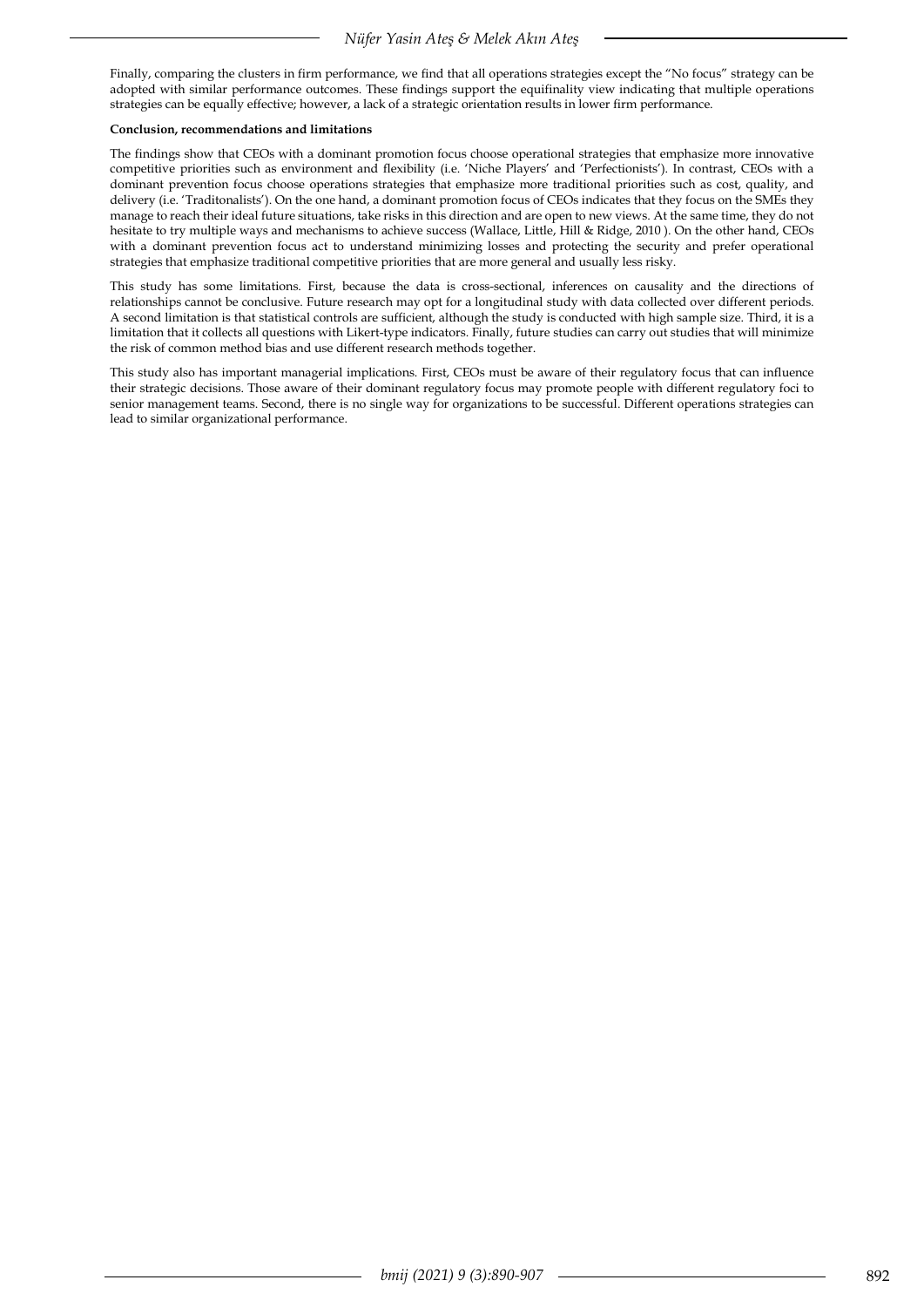Finally, comparing the clusters in firm performance, we find that all operations strategies except the "No focus" strategy can be adopted with similar performance outcomes. These findings support the equifinality view indicating that multiple operations strategies can be equally effective; however, a lack of a strategic orientation results in lower firm performance.

#### **Conclusion, recommendations and limitations**

The findings show that CEOs with a dominant promotion focus choose operational strategies that emphasize more innovative competitive priorities such as environment and flexibility (i.e. 'Niche Players' and 'Perfectionists'). In contrast, CEOs with a dominant prevention focus choose operations strategies that emphasize more traditional priorities such as cost, quality, and delivery (i.e. 'Traditonalists'). On the one hand, a dominant promotion focus of CEOs indicates that they focus on the SMEs they manage to reach their ideal future situations, take risks in this direction and are open to new views. At the same time, they do not hesitate to try multiple ways and mechanisms to achieve success (Wallace, Little, Hill & Ridge, 2010 ). On the other hand, CEOs with a dominant prevention focus act to understand minimizing losses and protecting the security and prefer operational strategies that emphasize traditional competitive priorities that are more general and usually less risky.

This study has some limitations. First, because the data is cross-sectional, inferences on causality and the directions of relationships cannot be conclusive. Future research may opt for a longitudinal study with data collected over different periods. A second limitation is that statistical controls are sufficient, although the study is conducted with high sample size. Third, it is a limitation that it collects all questions with Likert-type indicators. Finally, future studies can carry out studies that will minimize the risk of common method bias and use different research methods together.

This study also has important managerial implications. First, CEOs must be aware of their regulatory focus that can influence their strategic decisions. Those aware of their dominant regulatory focus may promote people with different regulatory foci to senior management teams. Second, there is no single way for organizations to be successful. Different operations strategies can lead to similar organizational performance.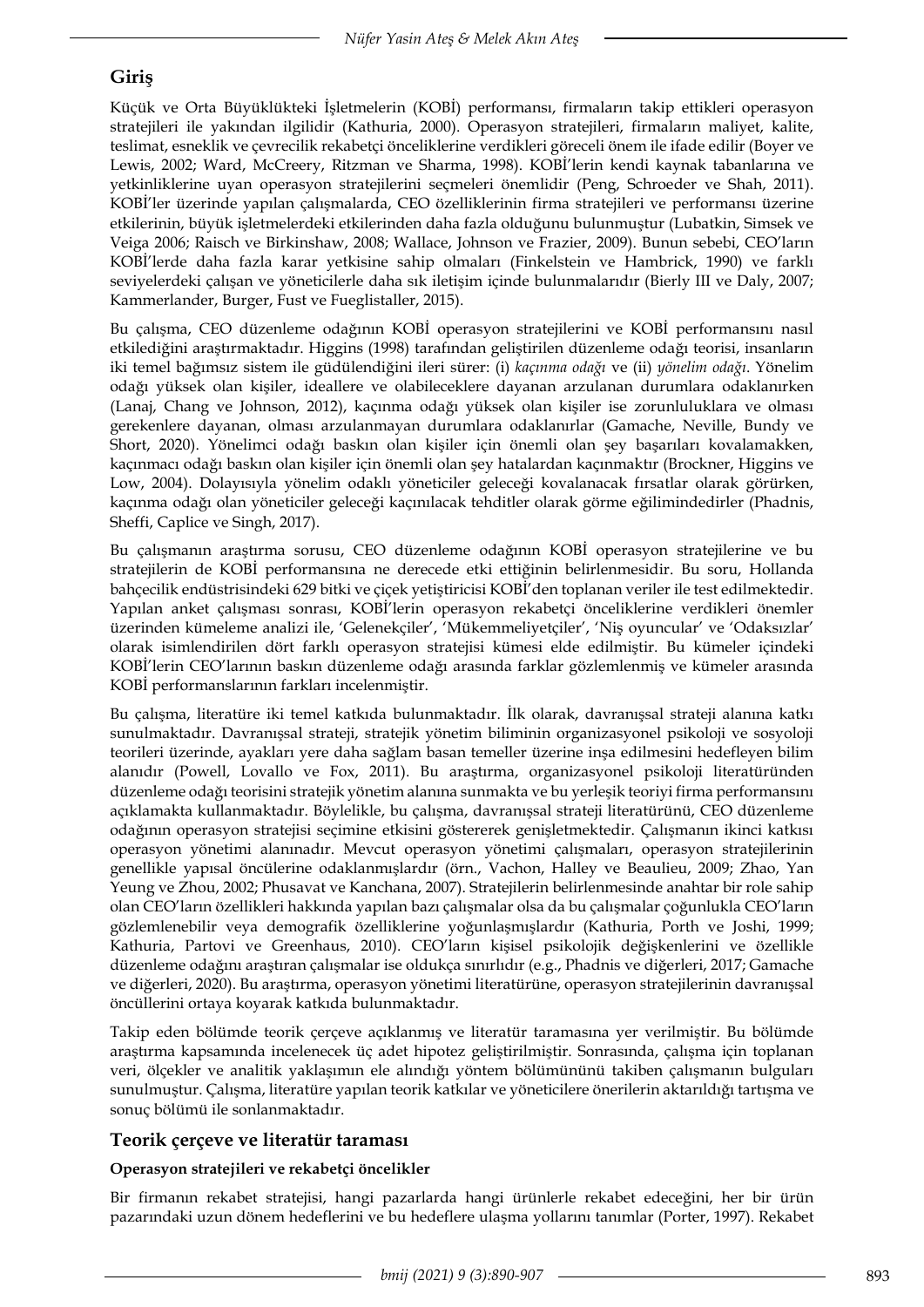# **Giriş**

Küçük ve Orta Büyüklükteki İşletmelerin (KOBİ) performansı, firmaların takip ettikleri operasyon stratejileri ile yakından ilgilidir (Kathuria, 2000). Operasyon stratejileri, firmaların maliyet, kalite, teslimat, esneklik ve çevrecilik rekabetçi önceliklerine verdikleri göreceli önem ile ifade edilir (Boyer ve Lewis, 2002; Ward, McCreery, Ritzman ve Sharma, 1998). KOBİ'lerin kendi kaynak tabanlarına ve yetkinliklerine uyan operasyon stratejilerini seçmeleri önemlidir (Peng, Schroeder ve Shah, 2011). KOBİ'ler üzerinde yapılan çalışmalarda, CEO özelliklerinin firma stratejileri ve performansı üzerine etkilerinin, büyük işletmelerdeki etkilerinden daha fazla olduğunu bulunmuştur (Lubatkin, Simsek ve Veiga 2006; Raisch ve Birkinshaw, 2008; Wallace, Johnson ve Frazier, 2009). Bunun sebebi, CEO'ların KOBİ'lerde daha fazla karar yetkisine sahip olmaları (Finkelstein ve Hambrick, 1990) ve farklı seviyelerdeki çalışan ve yöneticilerle daha sık iletişim içinde bulunmalarıdır (Bierly III ve Daly, 2007; Kammerlander, Burger, Fust ve Fueglistaller, 2015).

Bu çalışma, CEO düzenleme odağının KOBİ operasyon stratejilerini ve KOBİ performansını nasıl etkilediğini araştırmaktadır. Higgins (1998) tarafından geliştirilen düzenleme odağı teorisi, insanların iki temel bağımsız sistem ile güdülendiğini ileri sürer: (i) *kaçınma odağı* ve (ii) *yönelim odağı*. Yönelim odağı yüksek olan kişiler, ideallere ve olabileceklere dayanan arzulanan durumlara odaklanırken (Lanaj, Chang ve Johnson, 2012), kaçınma odağı yüksek olan kişiler ise zorunluluklara ve olması gerekenlere dayanan, olması arzulanmayan durumlara odaklanırlar (Gamache, Neville, Bundy ve Short, 2020). Yönelimci odağı baskın olan kişiler için önemli olan şey başarıları kovalamakken, kaçınmacı odağı baskın olan kişiler için önemli olan şey hatalardan kaçınmaktır (Brockner, Higgins ve Low, 2004). Dolayısıyla yönelim odaklı yöneticiler geleceği kovalanacak fırsatlar olarak görürken, kaçınma odağı olan yöneticiler geleceği kaçınılacak tehditler olarak görme eğilimindedirler (Phadnis, Sheffi, Caplice ve Singh, 2017).

Bu çalışmanın araştırma sorusu, CEO düzenleme odağının KOBİ operasyon stratejilerine ve bu stratejilerin de KOBİ performansına ne derecede etki ettiğinin belirlenmesidir. Bu soru, Hollanda bahçecilik endüstrisindeki 629 bitki ve çiçek yetiştiricisi KOBİ'den toplanan veriler ile test edilmektedir. Yapılan anket çalışması sonrası, KOBİ'lerin operasyon rekabetçi önceliklerine verdikleri önemler üzerinden kümeleme analizi ile, 'Gelenekçiler', 'Mükemmeliyetçiler', 'Niş oyuncular' ve 'Odaksızlar' olarak isimlendirilen dört farklı operasyon stratejisi kümesi elde edilmiştir. Bu kümeler içindeki KOBİ'lerin CEO'larının baskın düzenleme odağı arasında farklar gözlemlenmiş ve kümeler arasında KOBİ performanslarının farkları incelenmiştir.

Bu çalışma, literatüre iki temel katkıda bulunmaktadır. İlk olarak, davranışsal strateji alanına katkı sunulmaktadır. Davranışsal strateji, stratejik yönetim biliminin organizasyonel psikoloji ve sosyoloji teorileri üzerinde, ayakları yere daha sağlam basan temeller üzerine inşa edilmesini hedefleyen bilim alanıdır (Powell, Lovallo ve Fox, 2011). Bu araştırma, organizasyonel psikoloji literatüründen düzenleme odağı teorisini stratejik yönetim alanına sunmakta ve bu yerleşik teoriyi firma performansını açıklamakta kullanmaktadır. Böylelikle, bu çalışma, davranışsal strateji literatürünü, CEO düzenleme odağının operasyon stratejisi seçimine etkisini göstererek genişletmektedir. Çalışmanın ikinci katkısı operasyon yönetimi alanınadır. Mevcut operasyon yönetimi çalışmaları, operasyon stratejilerinin genellikle yapısal öncülerine odaklanmışlardır (örn., Vachon, Halley ve Beaulieu, 2009; Zhao, Yan Yeung ve Zhou, 2002; Phusavat ve Kanchana, 2007). Stratejilerin belirlenmesinde anahtar bir role sahip olan CEO'ların özellikleri hakkında yapılan bazı çalışmalar olsa da bu çalışmalar çoğunlukla CEO'ların gözlemlenebilir veya demografik özelliklerine yoğunlaşmışlardır (Kathuria, Porth ve Joshi, 1999; Kathuria, Partovi ve Greenhaus, 2010). CEO'ların kişisel psikolojik değişkenlerini ve özellikle düzenleme odağını araştıran çalışmalar ise oldukça sınırlıdır (e.g., Phadnis ve diğerleri, 2017; Gamache ve diğerleri, 2020). Bu araştırma, operasyon yönetimi literatürüne, operasyon stratejilerinin davranışsal öncüllerini ortaya koyarak katkıda bulunmaktadır.

Takip eden bölümde teorik çerçeve açıklanmış ve literatür taramasına yer verilmiştir. Bu bölümde araştırma kapsamında incelenecek üç adet hipotez geliştirilmiştir. Sonrasında, çalışma için toplanan veri, ölçekler ve analitik yaklaşımın ele alındığı yöntem bölümününü takiben çalışmanın bulguları sunulmuştur. Çalışma, literatüre yapılan teorik katkılar ve yöneticilere önerilerin aktarıldığı tartışma ve sonuç bölümü ile sonlanmaktadır.

## **Teorik çerçeve ve literatür taraması**

## **Operasyon stratejileri ve rekabetçi öncelikler**

Bir firmanın rekabet stratejisi, hangi pazarlarda hangi ürünlerle rekabet edeceğini, her bir ürün pazarındaki uzun dönem hedeflerini ve bu hedeflere ulaşma yollarını tanımlar (Porter, 1997). Rekabet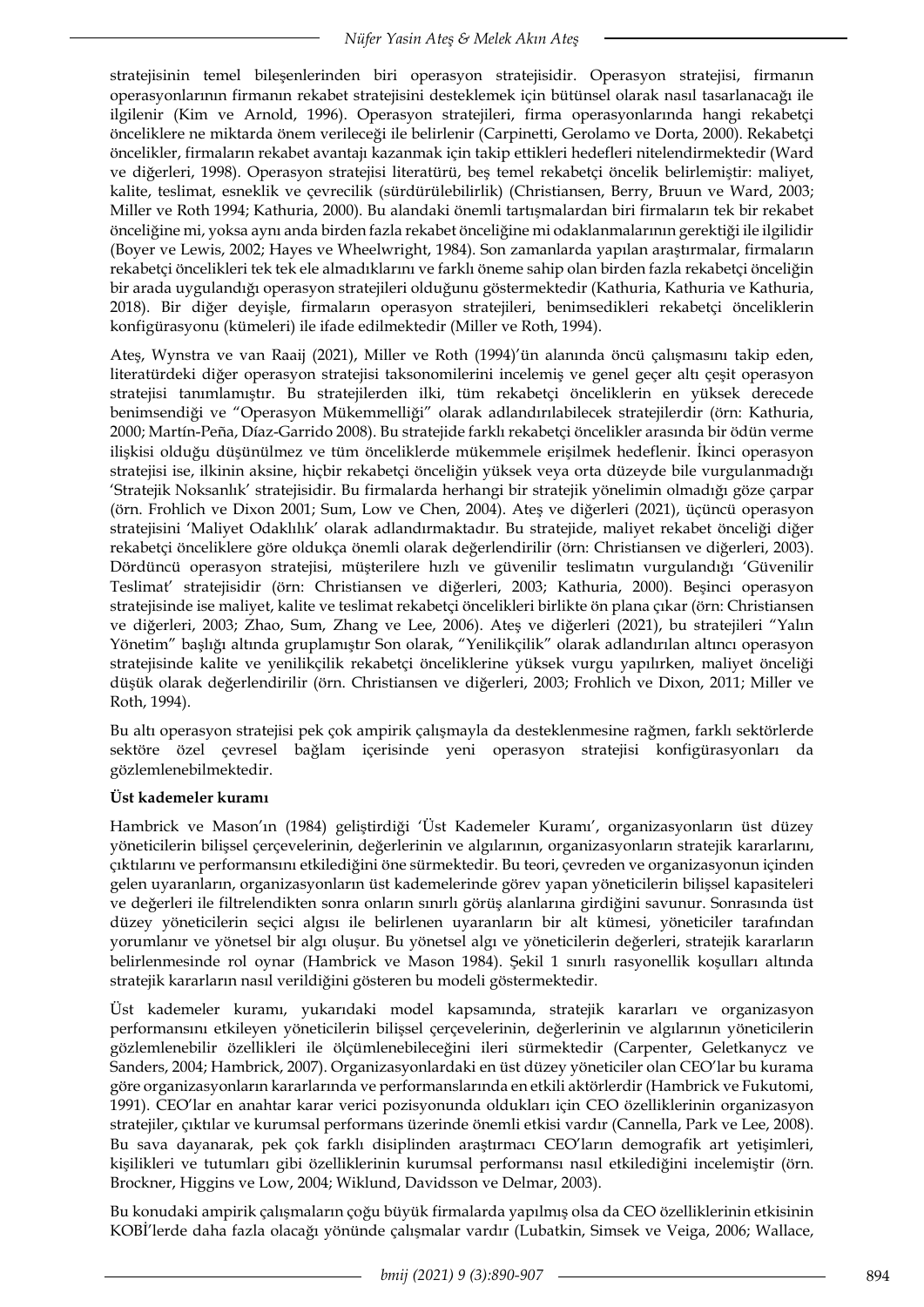stratejisinin temel bileşenlerinden biri operasyon stratejisidir. Operasyon stratejisi, firmanın operasyonlarının firmanın rekabet stratejisini desteklemek için bütünsel olarak nasıl tasarlanacağı ile ilgilenir (Kim ve Arnold, 1996). Operasyon stratejileri, firma operasyonlarında hangi rekabetçi önceliklere ne miktarda önem verileceği ile belirlenir (Carpinetti, Gerolamo ve Dorta, 2000). Rekabetçi öncelikler, firmaların rekabet avantajı kazanmak için takip ettikleri hedefleri nitelendirmektedir (Ward ve diğerleri, 1998). Operasyon stratejisi literatürü, beş temel rekabetçi öncelik belirlemiştir: maliyet, kalite, teslimat, esneklik ve çevrecilik (sürdürülebilirlik) (Christiansen, Berry, Bruun ve Ward, 2003; Miller ve Roth 1994; Kathuria, 2000). Bu alandaki önemli tartışmalardan biri firmaların tek bir rekabet önceliğine mi, yoksa aynı anda birden fazla rekabet önceliğine mi odaklanmalarının gerektiği ile ilgilidir (Boyer ve Lewis, 2002; Hayes ve Wheelwright, 1984). Son zamanlarda yapılan araştırmalar, firmaların rekabetçi öncelikleri tek tek ele almadıklarını ve farklı öneme sahip olan birden fazla rekabetçi önceliğin bir arada uygulandığı operasyon stratejileri olduğunu göstermektedir (Kathuria, Kathuria ve Kathuria, 2018). Bir diğer deyişle, firmaların operasyon stratejileri, benimsedikleri rekabetçi önceliklerin konfigürasyonu (kümeleri) ile ifade edilmektedir (Miller ve Roth, 1994).

Ateş, Wynstra ve van Raaij (2021), Miller ve Roth (1994)'ün alanında öncü çalışmasını takip eden, literatürdeki diğer operasyon stratejisi taksonomilerini incelemiş ve genel geçer altı çeşit operasyon stratejisi tanımlamıştır. Bu stratejilerden ilki, tüm rekabetçi önceliklerin en yüksek derecede benimsendiği ve "Operasyon Mükemmelliği" olarak adlandırılabilecek stratejilerdir (örn: Kathuria, 2000; Martín-Peña, Díaz-Garrido 2008). Bu stratejide farklı rekabetçi öncelikler arasında bir ödün verme ilişkisi olduğu düşünülmez ve tüm önceliklerde mükemmele erişilmek hedeflenir. İkinci operasyon stratejisi ise, ilkinin aksine, hiçbir rekabetçi önceliğin yüksek veya orta düzeyde bile vurgulanmadığı 'Stratejik Noksanlık' stratejisidir. Bu firmalarda herhangi bir stratejik yönelimin olmadığı göze çarpar (örn. Frohlich ve Dixon 2001; Sum, Low ve Chen, 2004). Ateş ve diğerleri (2021), üçüncü operasyon stratejisini 'Maliyet Odaklılık' olarak adlandırmaktadır. Bu stratejide, maliyet rekabet önceliği diğer rekabetçi önceliklere göre oldukça önemli olarak değerlendirilir (örn: Christiansen ve diğerleri, 2003). Dördüncü operasyon stratejisi, müşterilere hızlı ve güvenilir teslimatın vurgulandığı 'Güvenilir Teslimat' stratejisidir (örn: Christiansen ve diğerleri, 2003; Kathuria, 2000). Beşinci operasyon stratejisinde ise maliyet, kalite ve teslimat rekabetçi öncelikleri birlikte ön plana çıkar (örn: Christiansen ve diğerleri, 2003; Zhao, Sum, Zhang ve Lee, 2006). Ateş ve diğerleri (2021), bu stratejileri "Yalın Yönetim" başlığı altında gruplamıştır Son olarak, "Yenilikçilik" olarak adlandırılan altıncı operasyon stratejisinde kalite ve yenilikçilik rekabetçi önceliklerine yüksek vurgu yapılırken, maliyet önceliği düşük olarak değerlendirilir (örn. Christiansen ve diğerleri, 2003; Frohlich ve Dixon, 2011; Miller ve Roth, 1994).

Bu altı operasyon stratejisi pek çok ampirik çalışmayla da desteklenmesine rağmen, farklı sektörlerde sektöre özel çevresel bağlam içerisinde yeni operasyon stratejisi konfigürasyonları da gözlemlenebilmektedir.

### **Üst kademeler kuramı**

Hambrick ve Mason'ın (1984) geliştirdiği 'Üst Kademeler Kuramı', organizasyonların üst düzey yöneticilerin bilişsel çerçevelerinin, değerlerinin ve algılarının, organizasyonların stratejik kararlarını, çıktılarını ve performansını etkilediğini öne sürmektedir. Bu teori, çevreden ve organizasyonun içinden gelen uyaranların, organizasyonların üst kademelerinde görev yapan yöneticilerin bilişsel kapasiteleri ve değerleri ile filtrelendikten sonra onların sınırlı görüş alanlarına girdiğini savunur. Sonrasında üst düzey yöneticilerin seçici algısı ile belirlenen uyaranların bir alt kümesi, yöneticiler tarafından yorumlanır ve yönetsel bir algı oluşur. Bu yönetsel algı ve yöneticilerin değerleri, stratejik kararların belirlenmesinde rol oynar (Hambrick ve Mason 1984). Şekil 1 sınırlı rasyonellik koşulları altında stratejik kararların nasıl verildiğini gösteren bu modeli göstermektedir.

Üst kademeler kuramı, yukarıdaki model kapsamında, stratejik kararları ve organizasyon performansını etkileyen yöneticilerin bilişsel çerçevelerinin, değerlerinin ve algılarının yöneticilerin gözlemlenebilir özellikleri ile ölçümlenebileceğini ileri sürmektedir (Carpenter, Geletkanycz ve Sanders, 2004; Hambrick, 2007). Organizasyonlardaki en üst düzey yöneticiler olan CEO'lar bu kurama göre organizasyonların kararlarında ve performanslarında en etkili aktörlerdir (Hambrick ve Fukutomi, 1991). CEO'lar en anahtar karar verici pozisyonunda oldukları için CEO özelliklerinin organizasyon stratejiler, çıktılar ve kurumsal performans üzerinde önemli etkisi vardır (Cannella, Park ve Lee, 2008). Bu sava dayanarak, pek çok farklı disiplinden araştırmacı CEO'ların demografik art yetişimleri, kişilikleri ve tutumları gibi özelliklerinin kurumsal performansı nasıl etkilediğini incelemiştir (örn. Brockner, Higgins ve Low, 2004; Wiklund, Davidsson ve Delmar, 2003).

Bu konudaki ampirik çalışmaların çoğu büyük firmalarda yapılmış olsa da CEO özelliklerinin etkisinin KOBİ'lerde daha fazla olacağı yönünde çalışmalar vardır (Lubatkin, Simsek ve Veiga, 2006; Wallace,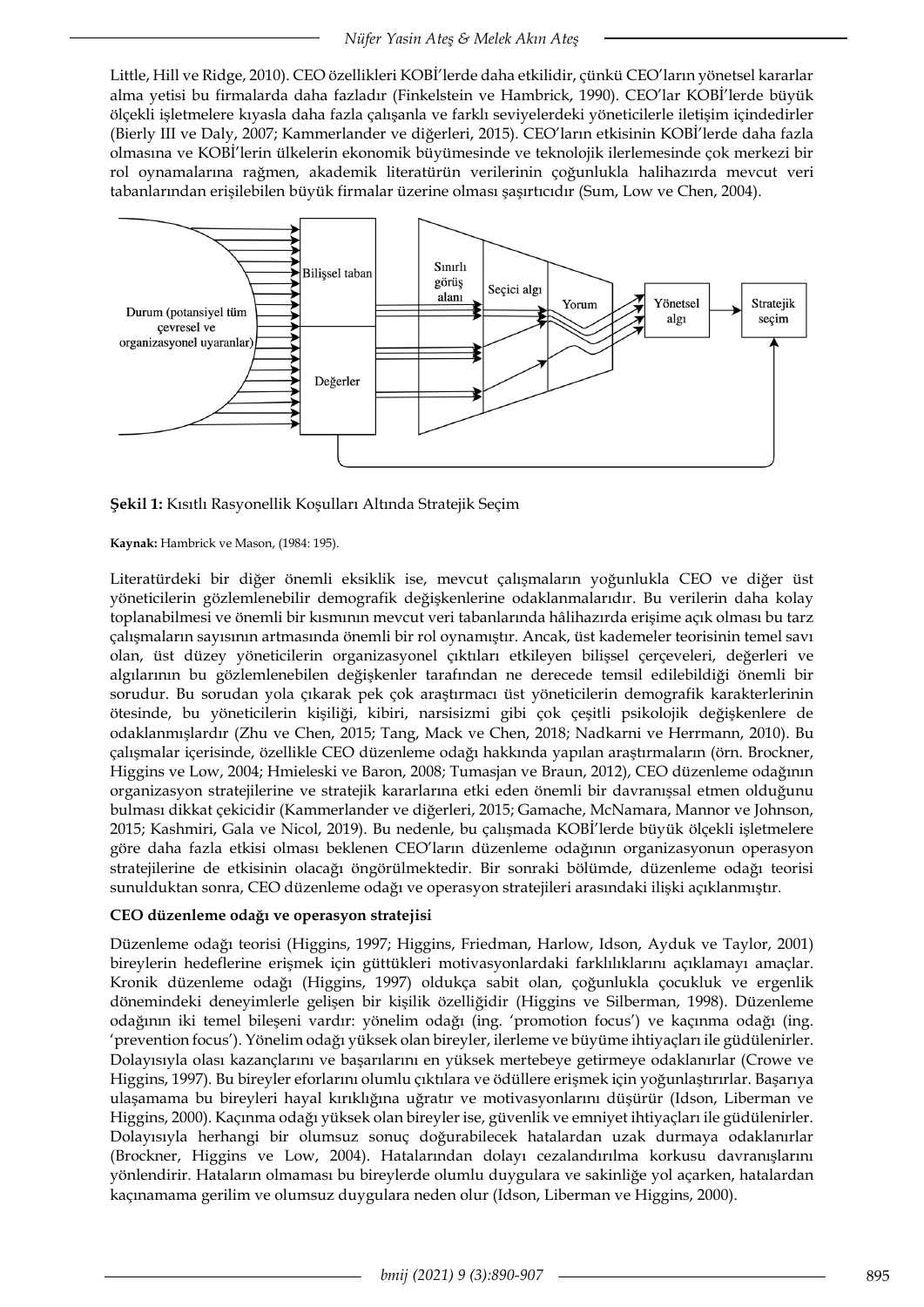Little, Hill ve Ridge, 2010). CEO özellikleri KOBİ'lerde daha etkilidir, çünkü CEO'ların yönetsel kararlar alma yetisi bu firmalarda daha fazladır (Finkelstein ve Hambrick, 1990). CEO'lar KOBİ'lerde büyük ölçekli işletmelere kıyasla daha fazla çalışanla ve farklı seviyelerdeki yöneticilerle iletişim içindedirler (Bierly III ve Daly, 2007; Kammerlander ve diğerleri, 2015). CEO'ların etkisinin KOBİ'lerde daha fazla olmasına ve KOBİ'lerin ülkelerin ekonomik büyümesinde ve teknolojik ilerlemesinde çok merkezi bir rol oynamalarına rağmen, akademik literatürün verilerinin çoğunlukla halihazırda mevcut veri tabanlarından erişilebilen büyük firmalar üzerine olması şaşırtıcıdır (Sum, Low ve Chen, 2004).



**Şekil 1:** Kısıtlı Rasyonellik Koşulları Altında Stratejik Seçim

**Kaynak:** Hambrick ve Mason, (1984: 195).

Literatürdeki bir diğer önemli eksiklik ise, mevcut çalışmaların yoğunlukla CEO ve diğer üst yöneticilerin gözlemlenebilir demografik değişkenlerine odaklanmalarıdır. Bu verilerin daha kolay toplanabilmesi ve önemli bir kısmının mevcut veri tabanlarında hâlihazırda erişime açık olması bu tarz çalışmaların sayısının artmasında önemli bir rol oynamıştır. Ancak, üst kademeler teorisinin temel savı olan, üst düzey yöneticilerin organizasyonel çıktıları etkileyen bilişsel çerçeveleri, değerleri ve algılarının bu gözlemlenebilen değişkenler tarafından ne derecede temsil edilebildiği önemli bir sorudur. Bu sorudan yola çıkarak pek çok araştırmacı üst yöneticilerin demografik karakterlerinin ötesinde, bu yöneticilerin kişiliği, kibiri, narsisizmi gibi çok çeşitli psikolojik değişkenlere de odaklanmışlardır (Zhu ve Chen, 2015; Tang, Mack ve Chen, 2018; Nadkarni ve Herrmann, 2010). Bu çalışmalar içerisinde, özellikle CEO düzenleme odağı hakkında yapılan araştırmaların (örn. Brockner, Higgins ve Low, 2004; Hmieleski ve Baron, 2008; Tumasjan ve Braun, 2012), CEO düzenleme odağının organizasyon stratejilerine ve stratejik kararlarına etki eden önemli bir davranışsal etmen olduğunu bulması dikkat çekicidir (Kammerlander ve diğerleri, 2015; Gamache, McNamara, Mannor ve Johnson, 2015; Kashmiri, Gala ve Nicol, 2019). Bu nedenle, bu çalışmada KOBİ'lerde büyük ölçekli işletmelere göre daha fazla etkisi olması beklenen CEO'ların düzenleme odağının organizasyonun operasyon stratejilerine de etkisinin olacağı öngörülmektedir. Bir sonraki bölümde, düzenleme odağı teorisi sunulduktan sonra, CEO düzenleme odağı ve operasyon stratejileri arasındaki ilişki açıklanmıştır.

### **CEO düzenleme odağı ve operasyon stratejisi**

Düzenleme odağı teorisi (Higgins, 1997; Higgins, Friedman, Harlow, Idson, Ayduk ve Taylor, 2001) bireylerin hedeflerine erişmek için güttükleri motivasyonlardaki farklılıklarını açıklamayı amaçlar. Kronik düzenleme odağı (Higgins, 1997) oldukça sabit olan, çoğunlukla çocukluk ve ergenlik dönemindeki deneyimlerle gelişen bir kişilik özelliğidir (Higgins ve Silberman, 1998). Düzenleme odağının iki temel bileşeni vardır: yönelim odağı (ing. 'promotion focus') ve kaçınma odağı (ing. 'prevention focus'). Yönelim odağı yüksek olan bireyler, ilerleme ve büyüme ihtiyaçları ile güdülenirler. Dolayısıyla olası kazançlarını ve başarılarını en yüksek mertebeye getirmeye odaklanırlar (Crowe ve Higgins, 1997). Bu bireyler eforlarını olumlu çıktılara ve ödüllere erişmek için yoğunlaştırırlar. Başarıya ulaşamama bu bireyleri hayal kırıklığına uğratır ve motivasyonlarını düşürür (Idson, Liberman ve Higgins, 2000). Kaçınma odağı yüksek olan bireyler ise, güvenlik ve emniyet ihtiyaçları ile güdülenirler. Dolayısıyla herhangi bir olumsuz sonuç doğurabilecek hatalardan uzak durmaya odaklanırlar (Brockner, Higgins ve Low, 2004). Hatalarından dolayı cezalandırılma korkusu davranışlarını yönlendirir. Hataların olmaması bu bireylerde olumlu duygulara ve sakinliğe yol açarken, hatalardan kaçınamama gerilim ve olumsuz duygulara neden olur (Idson, Liberman ve Higgins, 2000).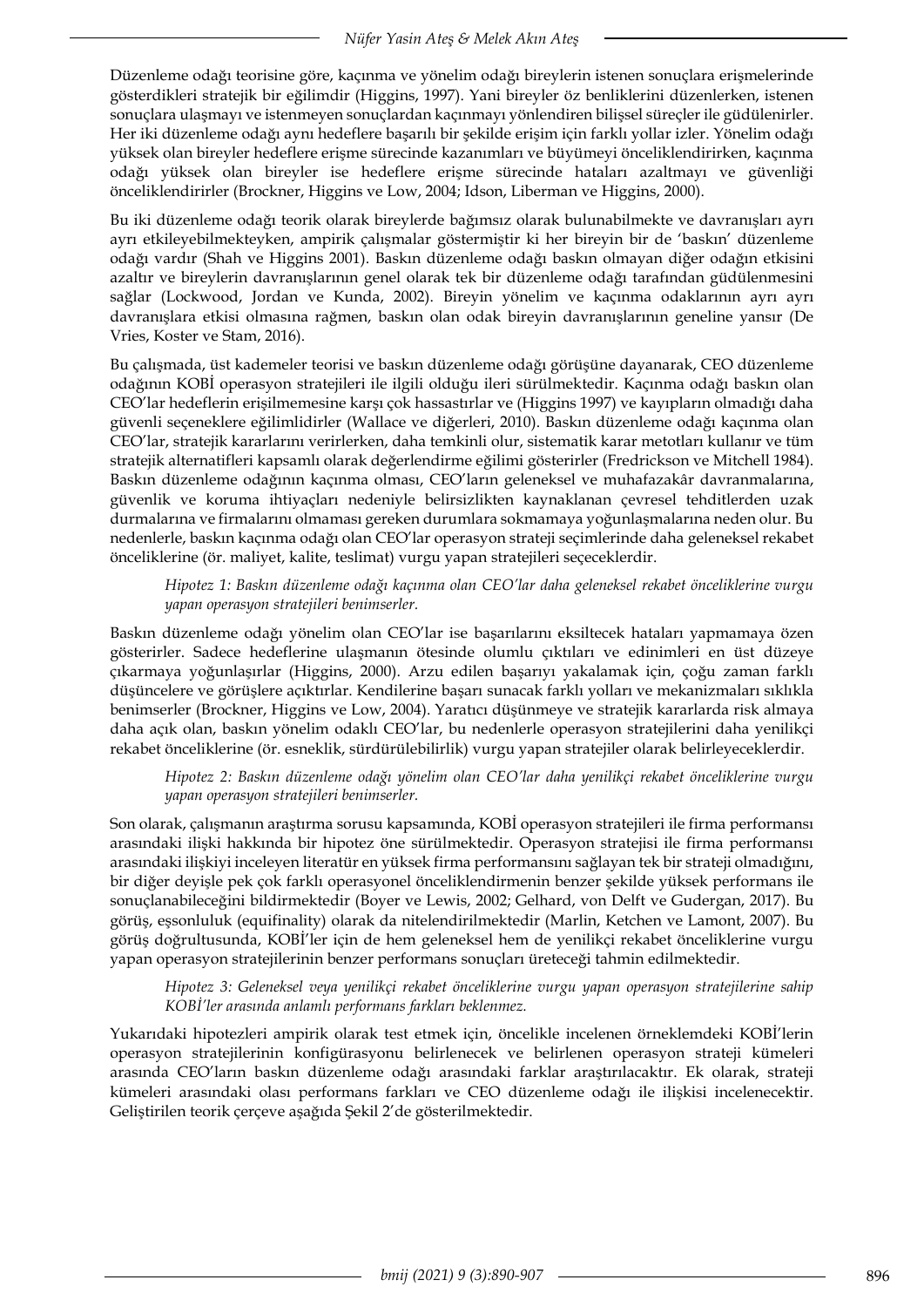Düzenleme odağı teorisine göre, kaçınma ve yönelim odağı bireylerin istenen sonuçlara erişmelerinde gösterdikleri stratejik bir eğilimdir (Higgins, 1997). Yani bireyler öz benliklerini düzenlerken, istenen sonuçlara ulaşmayı ve istenmeyen sonuçlardan kaçınmayı yönlendiren bilişsel süreçler ile güdülenirler. Her iki düzenleme odağı aynı hedeflere başarılı bir şekilde erişim için farklı yollar izler. Yönelim odağı yüksek olan bireyler hedeflere erişme sürecinde kazanımları ve büyümeyi önceliklendirirken, kaçınma odağı yüksek olan bireyler ise hedeflere erişme sürecinde hataları azaltmayı ve güvenliği önceliklendirirler (Brockner, Higgins ve Low, 2004; Idson, Liberman ve Higgins, 2000).

Bu iki düzenleme odağı teorik olarak bireylerde bağımsız olarak bulunabilmekte ve davranışları ayrı ayrı etkileyebilmekteyken, ampirik çalışmalar göstermiştir ki her bireyin bir de 'baskın' düzenleme odağı vardır (Shah ve Higgins 2001). Baskın düzenleme odağı baskın olmayan diğer odağın etkisini azaltır ve bireylerin davranışlarının genel olarak tek bir düzenleme odağı tarafından güdülenmesini sağlar (Lockwood, Jordan ve Kunda, 2002). Bireyin yönelim ve kaçınma odaklarının ayrı ayrı davranışlara etkisi olmasına rağmen, baskın olan odak bireyin davranışlarının geneline yansır (De Vries, Koster ve Stam, 2016).

Bu çalışmada, üst kademeler teorisi ve baskın düzenleme odağı görüşüne dayanarak, CEO düzenleme odağının KOBİ operasyon stratejileri ile ilgili olduğu ileri sürülmektedir. Kaçınma odağı baskın olan CEO'lar hedeflerin erişilmemesine karşı çok hassastırlar ve (Higgins 1997) ve kayıpların olmadığı daha güvenli seçeneklere eğilimlidirler (Wallace ve diğerleri, 2010). Baskın düzenleme odağı kaçınma olan CEO'lar, stratejik kararlarını verirlerken, daha temkinli olur, sistematik karar metotları kullanır ve tüm stratejik alternatifleri kapsamlı olarak değerlendirme eğilimi gösterirler (Fredrickson ve Mitchell 1984). Baskın düzenleme odağının kaçınma olması, CEO'ların geleneksel ve muhafazakâr davranmalarına, güvenlik ve koruma ihtiyaçları nedeniyle belirsizlikten kaynaklanan çevresel tehditlerden uzak durmalarına ve firmalarını olmaması gereken durumlara sokmamaya yoğunlaşmalarına neden olur. Bu nedenlerle, baskın kaçınma odağı olan CEO'lar operasyon strateji seçimlerinde daha geleneksel rekabet önceliklerine (ör. maliyet, kalite, teslimat) vurgu yapan stratejileri seçeceklerdir.

#### *Hipotez 1: Baskın düzenleme odağı kaçınma olan CEO'lar daha geleneksel rekabet önceliklerine vurgu yapan operasyon stratejileri benimserler.*

Baskın düzenleme odağı yönelim olan CEO'lar ise başarılarını eksiltecek hataları yapmamaya özen gösterirler. Sadece hedeflerine ulaşmanın ötesinde olumlu çıktıları ve edinimleri en üst düzeye çıkarmaya yoğunlaşırlar (Higgins, 2000). Arzu edilen başarıyı yakalamak için, çoğu zaman farklı düşüncelere ve görüşlere açıktırlar. Kendilerine başarı sunacak farklı yolları ve mekanizmaları sıklıkla benimserler (Brockner, Higgins ve Low, 2004). Yaratıcı düşünmeye ve stratejik kararlarda risk almaya daha açık olan, baskın yönelim odaklı CEO'lar, bu nedenlerle operasyon stratejilerini daha yenilikçi rekabet önceliklerine (ör. esneklik, sürdürülebilirlik) vurgu yapan stratejiler olarak belirleyeceklerdir.

*Hipotez 2: Baskın düzenleme odağı yönelim olan CEO'lar daha yenilikçi rekabet önceliklerine vurgu yapan operasyon stratejileri benimserler.*

Son olarak, çalışmanın araştırma sorusu kapsamında, KOBİ operasyon stratejileri ile firma performansı arasındaki ilişki hakkında bir hipotez öne sürülmektedir. Operasyon stratejisi ile firma performansı arasındaki ilişkiyi inceleyen literatür en yüksek firma performansını sağlayan tek bir strateji olmadığını, bir diğer deyişle pek çok farklı operasyonel önceliklendirmenin benzer şekilde yüksek performans ile sonuçlanabileceğini bildirmektedir (Boyer ve Lewis, 2002; Gelhard, von Delft ve Gudergan, 2017). Bu görüş, eşsonluluk (equifinality) olarak da nitelendirilmektedir (Marlin, Ketchen ve Lamont, 2007). Bu görüş doğrultusunda, KOBİ'ler için de hem geleneksel hem de yenilikçi rekabet önceliklerine vurgu yapan operasyon stratejilerinin benzer performans sonuçları üreteceği tahmin edilmektedir.

*Hipotez 3: Geleneksel veya yenilikçi rekabet önceliklerine vurgu yapan operasyon stratejilerine sahip KOBİ'ler arasında anlamlı performans farkları beklenmez.*

Yukarıdaki hipotezleri ampirik olarak test etmek için, öncelikle incelenen örneklemdeki KOBİ'lerin operasyon stratejilerinin konfigürasyonu belirlenecek ve belirlenen operasyon strateji kümeleri arasında CEO'ların baskın düzenleme odağı arasındaki farklar araştırılacaktır. Ek olarak, strateji kümeleri arasındaki olası performans farkları ve CEO düzenleme odağı ile ilişkisi incelenecektir. Geliştirilen teorik çerçeve aşağıda Şekil 2'de gösterilmektedir.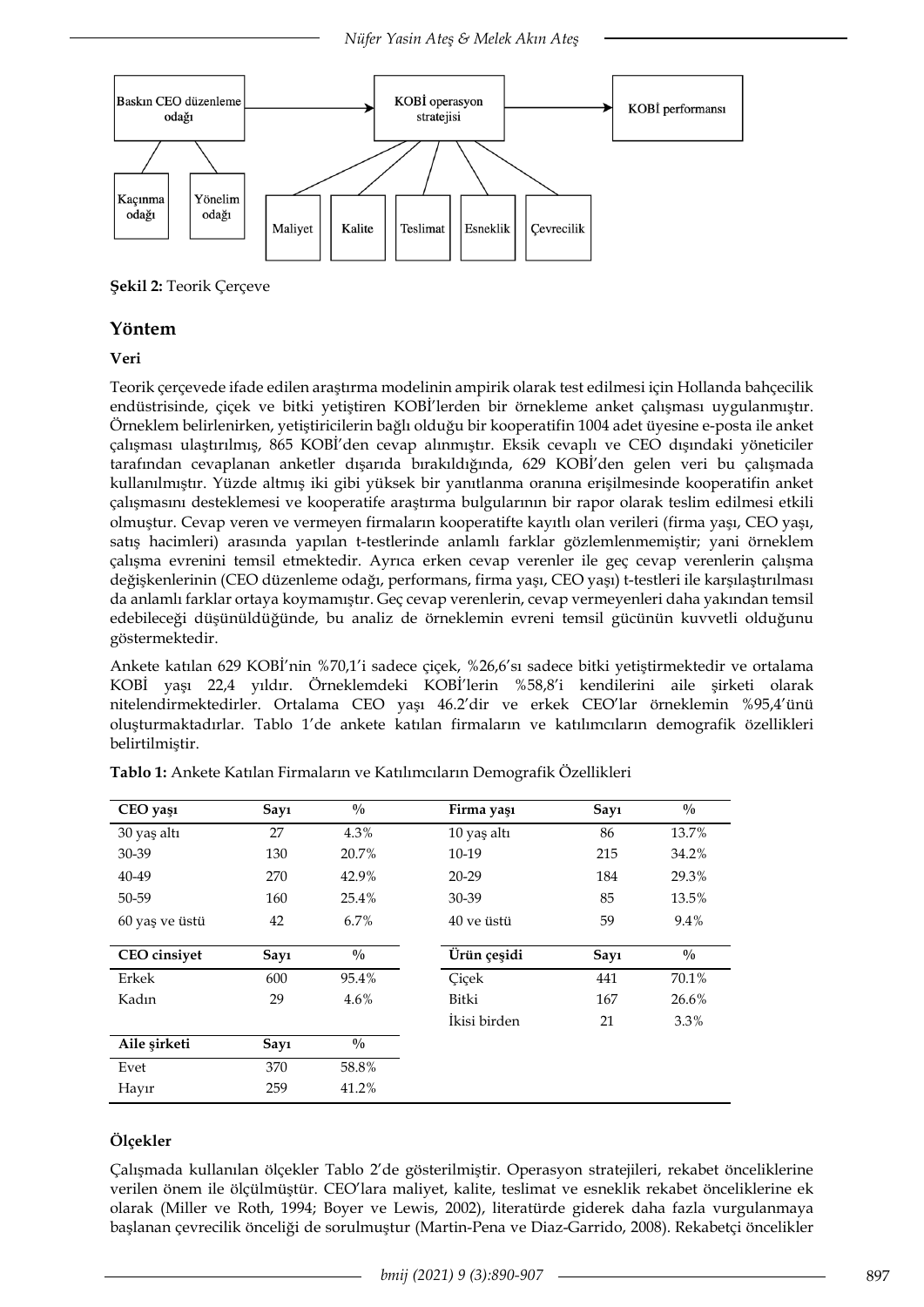

**Şekil 2:** Teorik Çerçeve

## **Yöntem**

### **Veri**

Teorik çerçevede ifade edilen araştırma modelinin ampirik olarak test edilmesi için Hollanda bahçecilik endüstrisinde, çiçek ve bitki yetiştiren KOBİ'lerden bir örnekleme anket çalışması uygulanmıştır. Örneklem belirlenirken, yetiştiricilerin bağlı olduğu bir kooperatifin 1004 adet üyesine e-posta ile anket çalışması ulaştırılmış, 865 KOBİ'den cevap alınmıştır. Eksik cevaplı ve CEO dışındaki yöneticiler tarafından cevaplanan anketler dışarıda bırakıldığında, 629 KOBİ'den gelen veri bu çalışmada kullanılmıştır. Yüzde altmış iki gibi yüksek bir yanıtlanma oranına erişilmesinde kooperatifin anket çalışmasını desteklemesi ve kooperatife araştırma bulgularının bir rapor olarak teslim edilmesi etkili olmuştur. Cevap veren ve vermeyen firmaların kooperatifte kayıtlı olan verileri (firma yaşı, CEO yaşı, satış hacimleri) arasında yapılan t-testlerinde anlamlı farklar gözlemlenmemiştir; yani örneklem çalışma evrenini temsil etmektedir. Ayrıca erken cevap verenler ile geç cevap verenlerin çalışma değişkenlerinin (CEO düzenleme odağı, performans, firma yaşı, CEO yaşı) t-testleri ile karşılaştırılması da anlamlı farklar ortaya koymamıştır. Geç cevap verenlerin, cevap vermeyenleri daha yakından temsil edebileceği düşünüldüğünde, bu analiz de örneklemin evreni temsil gücünün kuvvetli olduğunu göstermektedir.

Ankete katılan 629 KOBİ'nin %70,1'i sadece çiçek, %26,6'sı sadece bitki yetiştirmektedir ve ortalama KOBİ yaşı 22,4 yıldır. Örneklemdeki KOBİ'lerin %58,8'i kendilerini aile şirketi olarak nitelendirmektedirler. Ortalama CEO yaşı 46.2'dir ve erkek CEO'lar örneklemin %95,4'ünü oluşturmaktadırlar. Tablo 1'de ankete katılan firmaların ve katılımcıların demografik özellikleri belirtilmiştir.

| CEO yaşı       | Say1 | $\frac{0}{0}$ | Firma yaşı   | Say1 | $\frac{0}{0}$ |
|----------------|------|---------------|--------------|------|---------------|
| 30 yaş altı    | 27   | 4.3%          | 10 yaş altı  | 86   | 13.7%         |
| 30-39          | 130  | 20.7%         | 10-19        | 215  | 34.2%         |
| 40-49          | 270  | 42.9%         | $20 - 29$    | 184  | 29.3%         |
| 50-59          | 160  | 25.4%         | 30-39        | 85   | 13.5%         |
| 60 yaş ve üstü | 42   | 6.7%          | 40 ve üstü   | 59   | 9.4%          |
| CEO cinsiyet   | Say1 | $\frac{0}{0}$ | Ürün çeşidi  | Say1 | $\frac{0}{0}$ |
| Erkek          | 600  | 95.4%         | Cicek        | 441  | 70.1%         |
| Kadın          | 29   | 4.6%          | Bitki        | 167  | 26.6%         |
|                |      |               | İkisi birden | 21   | 3.3%          |
| Aile şirketi   | Say1 | $\frac{0}{0}$ |              |      |               |
| Evet           | 370  | 58.8%         |              |      |               |
| Hayır          | 259  | 41.2%         |              |      |               |

## **Ölçekler**

Çalışmada kullanılan ölçekler Tablo 2'de gösterilmiştir. Operasyon stratejileri, rekabet önceliklerine verilen önem ile ölçülmüştür. CEO'lara maliyet, kalite, teslimat ve esneklik rekabet önceliklerine ek olarak (Miller ve Roth, 1994; Boyer ve Lewis, 2002), literatürde giderek daha fazla vurgulanmaya başlanan çevrecilik önceliği de sorulmuştur (Martin-Pena ve Diaz-Garrido, 2008). Rekabetçi öncelikler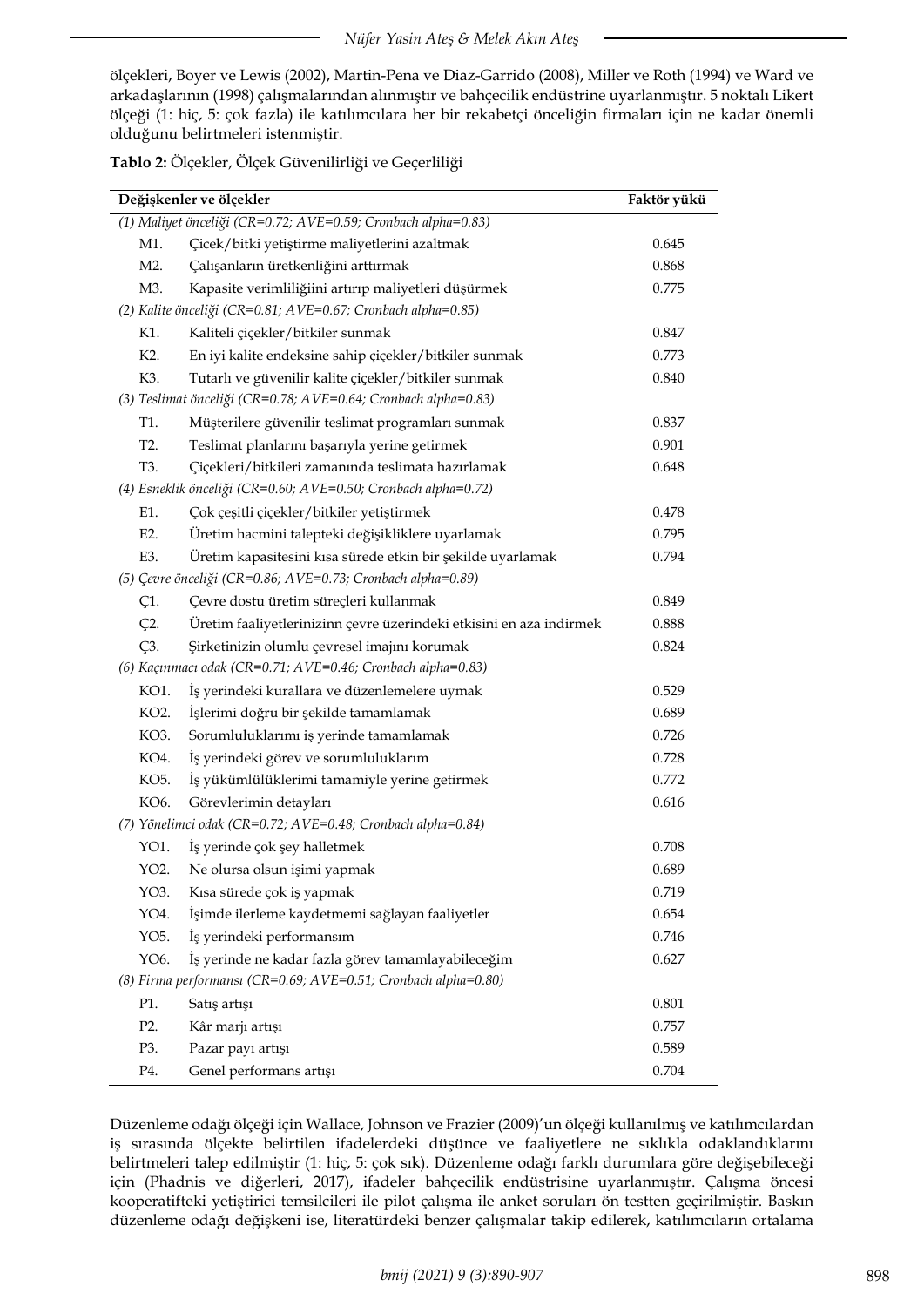ölçekleri, Boyer ve Lewis (2002), Martin-Pena ve Diaz-Garrido (2008), Miller ve Roth (1994) ve Ward ve arkadaşlarının (1998) çalışmalarından alınmıştır ve bahçecilik endüstrine uyarlanmıştır. 5 noktalı Likert ölçeği (1: hiç, 5: çok fazla) ile katılımcılara her bir rekabetçi önceliğin firmaları için ne kadar önemli olduğunu belirtmeleri istenmiştir.

**Tablo 2:** Ölçekler, Ölçek Güvenilirliği ve Geçerliliği

| Değişkenler ve ölçekler | Faktör yükü                                                         |       |
|-------------------------|---------------------------------------------------------------------|-------|
|                         | (1) Maliyet önceliği (CR=0.72; AVE=0.59; Cronbach alpha=0.83)       |       |
| M1.                     | Çicek/bitki yetiştirme maliyetlerini azaltmak                       | 0.645 |
| M2.                     | Çalışanların üretkenliğini arttırmak                                | 0.868 |
| M3.                     | Kapasite verimliliğiini artırıp maliyetleri düşürmek                | 0.775 |
|                         | (2) Kalite önceliği (CR=0.81; AVE=0.67; Cronbach alpha=0.85)        |       |
| K1.                     | Kaliteli çiçekler/bitkiler sunmak                                   | 0.847 |
| K2.                     | En iyi kalite endeksine sahip çiçekler/bitkiler sunmak              | 0.773 |
| K3.                     | Tutarlı ve güvenilir kalite çiçekler/bitkiler sunmak                | 0.840 |
|                         | (3) Teslimat önceliği (CR=0.78; AVE=0.64; Cronbach alpha=0.83)      |       |
| T1.                     | Müşterilere güvenilir teslimat programları sunmak                   | 0.837 |
| T <sub>2</sub> .        | Teslimat planlarını başarıyla yerine getirmek                       | 0.901 |
| T3.                     | Çiçekleri/bitkileri zamanında teslimata hazırlamak                  | 0.648 |
|                         | (4) Esneklik önceliği (CR=0.60; AVE=0.50; Cronbach alpha=0.72)      |       |
| E1.                     | Çok çeşitli çiçekler/bitkiler yetiştirmek                           | 0.478 |
| E2.                     | Üretim hacmini talepteki değişikliklere uyarlamak                   | 0.795 |
| E3.                     | Üretim kapasitesini kısa sürede etkin bir şekilde uyarlamak         | 0.794 |
|                         | (5) Çevre önceliği (CR=0.86; AVE=0.73; Cronbach alpha=0.89)         |       |
| $C1$ .                  | Çevre dostu üretim süreçleri kullanmak                              | 0.849 |
| $C2$ .                  | Üretim faaliyetlerinizinn çevre üzerindeki etkisini en aza indirmek | 0.888 |
| $C3$ .                  | Şirketinizin olumlu çevresel imajını korumak                        | 0.824 |
|                         | (6) Kaçınmacı odak (CR=0.71; AVE=0.46; Cronbach alpha=0.83)         |       |
| KO1.                    | İş yerindeki kurallara ve düzenlemelere uymak                       | 0.529 |
| KO2.                    | İşlerimi doğru bir şekilde tamamlamak                               | 0.689 |
| KO3.                    | Sorumluluklarımı iş yerinde tamamlamak                              | 0.726 |
| KO4.                    | İş yerindeki görev ve sorumluluklarım                               | 0.728 |
| KO <sub>5</sub> .       | İş yükümlülüklerimi tamamiyle yerine getirmek                       | 0.772 |
| KO6.                    | Görevlerimin detayları                                              | 0.616 |
|                         | (7) Yönelimci odak (CR=0.72; AVE=0.48; Cronbach alpha=0.84)         |       |
| YO1.                    | İş yerinde çok şey halletmek                                        | 0.708 |
| YO2.                    | Ne olursa olsun işimi yapmak                                        | 0.689 |
| YO3.                    | Kısa sürede çok iş yapmak                                           | 0.719 |
| YO4.                    | İşimde ilerleme kaydetmemi sağlayan faaliyetler                     | 0.654 |
| YO5.                    | İş yerindeki performansım                                           | 0.746 |
| YO6.                    | İş yerinde ne kadar fazla görev tamamlayabileceğim                  | 0.627 |
|                         | (8) Firma performansı (CR=0.69; AVE=0.51; Cronbach alpha=0.80)      |       |
| P1.                     | Satış artışı                                                        | 0.801 |
| P2.                     | Kâr marjı artışı                                                    | 0.757 |
| P3.                     | Pazar payı artışı                                                   | 0.589 |
| P4.                     | Genel performans artışı                                             | 0.704 |

Düzenleme odağı ölçeği için Wallace, Johnson ve Frazier (2009)'un ölçeği kullanılmış ve katılımcılardan iş sırasında ölçekte belirtilen ifadelerdeki düşünce ve faaliyetlere ne sıklıkla odaklandıklarını belirtmeleri talep edilmiştir (1: hiç, 5: çok sık). Düzenleme odağı farklı durumlara göre değişebileceği için (Phadnis ve diğerleri, 2017), ifadeler bahçecilik endüstrisine uyarlanmıştır. Çalışma öncesi kooperatifteki yetiştirici temsilcileri ile pilot çalışma ile anket soruları ön testten geçirilmiştir. Baskın düzenleme odağı değişkeni ise, literatürdeki benzer çalışmalar takip edilerek, katılımcıların ortalama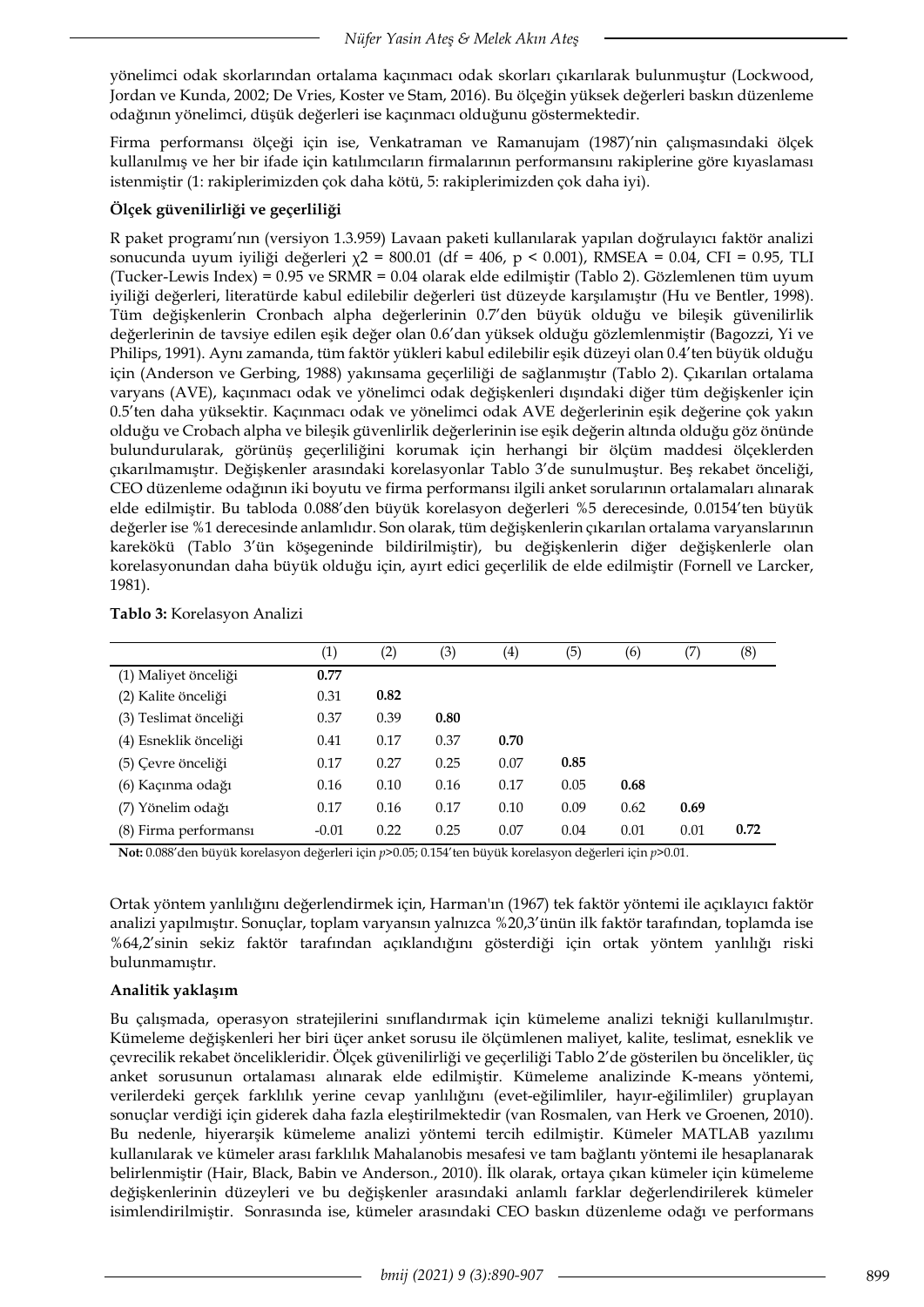yönelimci odak skorlarından ortalama kaçınmacı odak skorları çıkarılarak bulunmuştur (Lockwood, Jordan ve Kunda, 2002; De Vries, Koster ve Stam, 2016). Bu ölçeğin yüksek değerleri baskın düzenleme odağının yönelimci, düşük değerleri ise kaçınmacı olduğunu göstermektedir.

Firma performansı ölçeği için ise, Venkatraman ve Ramanujam (1987)'nin çalışmasındaki ölçek kullanılmış ve her bir ifade için katılımcıların firmalarının performansını rakiplerine göre kıyaslaması istenmiştir (1: rakiplerimizden çok daha kötü, 5: rakiplerimizden çok daha iyi).

## **Ölçek güvenilirliği ve geçerliliği**

R paket programı'nın (versiyon 1.3.959) Lavaan paketi kullanılarak yapılan doğrulayıcı faktör analizi sonucunda uyum iyiliği değerleri χ2 = 800.01 (df = 406, p < 0.001), RMSEA = 0.04, CFI = 0.95, TLI (Tucker-Lewis Index) = 0.95 ve SRMR = 0.04 olarak elde edilmiştir (Tablo 2). Gözlemlenen tüm uyum iyiliği değerleri, literatürde kabul edilebilir değerleri üst düzeyde karşılamıştır (Hu ve Bentler, 1998). Tüm değişkenlerin Cronbach alpha değerlerinin 0.7'den büyük olduğu ve bileşik güvenilirlik değerlerinin de tavsiye edilen eşik değer olan 0.6'dan yüksek olduğu gözlemlenmiştir (Bagozzi, Yi ve Philips, 1991). Aynı zamanda, tüm faktör yükleri kabul edilebilir eşik düzeyi olan 0.4'ten büyük olduğu için (Anderson ve Gerbing, 1988) yakınsama geçerliliği de sağlanmıştır (Tablo 2). Çıkarılan ortalama varyans (AVE), kaçınmacı odak ve yönelimci odak değişkenleri dışındaki diğer tüm değişkenler için 0.5'ten daha yüksektir. Kaçınmacı odak ve yönelimci odak AVE değerlerinin eşik değerine çok yakın olduğu ve Crobach alpha ve bileşik güvenlirlik değerlerinin ise eşik değerin altında olduğu göz önünde bulundurularak, görünüş geçerliliğini korumak için herhangi bir ölçüm maddesi ölçeklerden çıkarılmamıştır. Değişkenler arasındaki korelasyonlar Tablo 3'de sunulmuştur. Beş rekabet önceliği, CEO düzenleme odağının iki boyutu ve firma performansı ilgili anket sorularının ortalamaları alınarak elde edilmiştir. Bu tabloda 0.088'den büyük korelasyon değerleri %5 derecesinde, 0.0154'ten büyük değerler ise %1 derecesinde anlamlıdır. Son olarak, tüm değişkenlerin çıkarılan ortalama varyanslarının karekökü (Tablo 3'ün köşegeninde bildirilmiştir), bu değişkenlerin diğer değişkenlerle olan korelasyonundan daha büyük olduğu için, ayırt edici geçerlilik de elde edilmiştir (Fornell ve Larcker, 1981).

|                       | (1)     | (2)  | (3)  | $\left( 4\right)$ | (5)  | (6)  | (7)  | (8)  |
|-----------------------|---------|------|------|-------------------|------|------|------|------|
| (1) Maliyet önceliği  | 0.77    |      |      |                   |      |      |      |      |
| (2) Kalite önceliği   | 0.31    | 0.82 |      |                   |      |      |      |      |
| (3) Teslimat önceliği | 0.37    | 0.39 | 0.80 |                   |      |      |      |      |
| (4) Esneklik önceliği | 0.41    | 0.17 | 0.37 | 0.70              |      |      |      |      |
| (5) Çevre önceliği    | 0.17    | 0.27 | 0.25 | 0.07              | 0.85 |      |      |      |
| (6) Kaçınma odağı     | 0.16    | 0.10 | 0.16 | 0.17              | 0.05 | 0.68 |      |      |
| (7) Yönelim odağı     | 0.17    | 0.16 | 0.17 | 0.10              | 0.09 | 0.62 | 0.69 |      |
| (8) Firma performansı | $-0.01$ | 0.22 | 0.25 | 0.07              | 0.04 | 0.01 | 0.01 | 0.72 |

#### **Tablo 3:** Korelasyon Analizi

**Not:** 0.088'den büyük korelasyon değerleri için *p*>0.05; 0.154'ten büyük korelasyon değerleri için *p*>0.01.

Ortak yöntem yanlılığını değerlendirmek için, Harman'ın (1967) tek faktör yöntemi ile açıklayıcı faktör analizi yapılmıştır. Sonuçlar, toplam varyansın yalnızca %20,3'ünün ilk faktör tarafından, toplamda ise %64,2'sinin sekiz faktör tarafından açıklandığını gösterdiği için ortak yöntem yanlılığı riski bulunmamıştır.

### **Analitik yaklaşım**

Bu çalışmada, operasyon stratejilerini sınıflandırmak için kümeleme analizi tekniği kullanılmıştır. Kümeleme değişkenleri her biri üçer anket sorusu ile ölçümlenen maliyet, kalite, teslimat, esneklik ve çevrecilik rekabet öncelikleridir. Ölçek güvenilirliği ve geçerliliği Tablo 2'de gösterilen bu öncelikler, üç anket sorusunun ortalaması alınarak elde edilmiştir. Kümeleme analizinde K-means yöntemi, verilerdeki gerçek farklılık yerine cevap yanlılığını (evet-eğilimliler, hayır-eğilimliler) gruplayan sonuçlar verdiği için giderek daha fazla eleştirilmektedir (van Rosmalen, van Herk ve Groenen, 2010). Bu nedenle, hiyerarşik kümeleme analizi yöntemi tercih edilmiştir. Kümeler MATLAB yazılımı kullanılarak ve kümeler arası farklılık Mahalanobis mesafesi ve tam bağlantı yöntemi ile hesaplanarak belirlenmiştir (Hair, Black, Babin ve Anderson., 2010). İlk olarak, ortaya çıkan kümeler için kümeleme değişkenlerinin düzeyleri ve bu değişkenler arasındaki anlamlı farklar değerlendirilerek kümeler isimlendirilmiştir. Sonrasında ise, kümeler arasındaki CEO baskın düzenleme odağı ve performans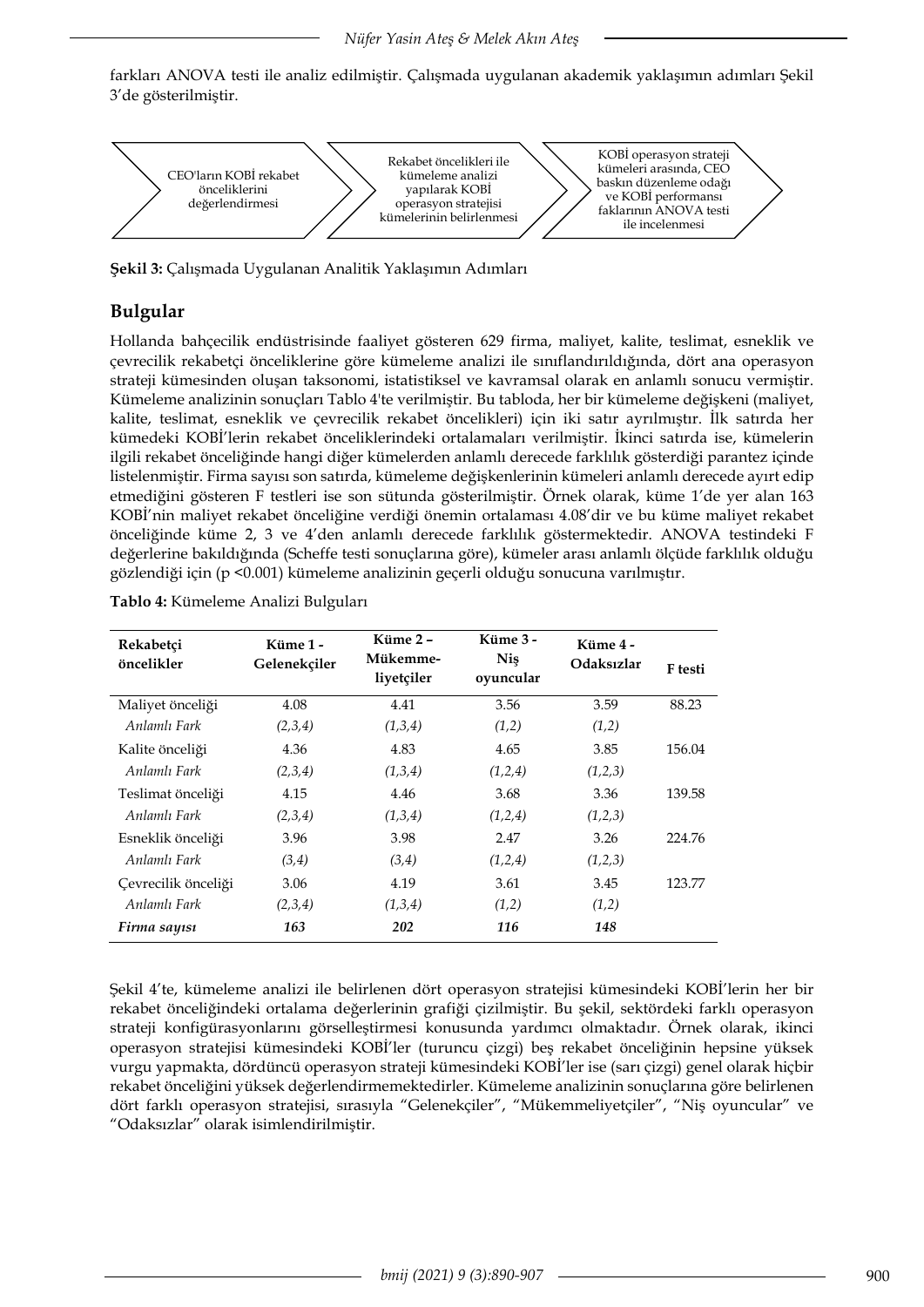farkları ANOVA testi ile analiz edilmiştir. Çalışmada uygulanan akademik yaklaşımın adımları Şekil 3'de gösterilmiştir.



**Şekil 3:** Çalışmada Uygulanan Analitik Yaklaşımın Adımları

# **Bulgular**

Hollanda bahçecilik endüstrisinde faaliyet gösteren 629 firma, maliyet, kalite, teslimat, esneklik ve çevrecilik rekabetçi önceliklerine göre kümeleme analizi ile sınıflandırıldığında, dört ana operasyon strateji kümesinden oluşan taksonomi, istatistiksel ve kavramsal olarak en anlamlı sonucu vermiştir. Kümeleme analizinin sonuçları Tablo 4'te verilmiştir. Bu tabloda, her bir kümeleme değişkeni (maliyet, kalite, teslimat, esneklik ve çevrecilik rekabet öncelikleri) için iki satır ayrılmıştır. İlk satırda her kümedeki KOBİ'lerin rekabet önceliklerindeki ortalamaları verilmiştir. İkinci satırda ise, kümelerin ilgili rekabet önceliğinde hangi diğer kümelerden anlamlı derecede farklılık gösterdiği parantez içinde listelenmiştir. Firma sayısı son satırda, kümeleme değişkenlerinin kümeleri anlamlı derecede ayırt edip etmediğini gösteren F testleri ise son sütunda gösterilmiştir. Örnek olarak, küme 1'de yer alan 163 KOBİ'nin maliyet rekabet önceliğine verdiği önemin ortalaması 4.08'dir ve bu küme maliyet rekabet önceliğinde küme 2, 3 ve 4'den anlamlı derecede farklılık göstermektedir. ANOVA testindeki F değerlerine bakıldığında (Scheffe testi sonuçlarına göre), kümeler arası anlamlı ölçüde farklılık olduğu gözlendiği için (p <0.001) kümeleme analizinin geçerli olduğu sonucuna varılmıştır.

| Rekabetçi<br>öncelikler | Küme 1 -<br>Gelenekçiler | Küme 3 -<br>Kiime 2 -<br><b>Nis</b><br>Mükemme-<br>liyetçiler<br>oyuncular |         | Küme 4 -<br>Odaksızlar | F testi |
|-------------------------|--------------------------|----------------------------------------------------------------------------|---------|------------------------|---------|
|                         |                          |                                                                            |         |                        |         |
| Maliyet önceliği        | 4.08                     | 4.41                                                                       | 3.56    | 3.59                   | 88.23   |
| Anlamlı Fark            | (2,3,4)                  | (1,3,4)                                                                    | (1,2)   | (1,2)                  |         |
| Kalite önceliği         | 4.36                     | 4.83                                                                       | 4.65    | 3.85                   | 156.04  |
| Anlamlı Fark            | (2,3,4)                  | (1,3,4)                                                                    | (1,2,4) | (1,2,3)                |         |
| Teslimat önceliği       | 4.15                     | 4.46                                                                       | 3.68    | 3.36                   | 139.58  |
| Anlamlı Fark            | (2,3,4)                  | (1,3,4)                                                                    | (1,2,4) | (1,2,3)                |         |
| Esneklik önceliği       | 3.96                     | 3.98                                                                       | 2.47    | 3.26                   | 224.76  |
| Anlamlı Fark            | (3,4)                    | (3,4)                                                                      | (1,2,4) | (1,2,3)                |         |
| Çevrecilik önceliği     | 3.06                     | 4.19                                                                       | 3.61    | 3.45                   | 123.77  |
| Anlamlı Fark            | (2,3,4)                  | (1,3,4)                                                                    | (1,2)   | (1,2)                  |         |
| Firma sayısı            | 163                      | 202                                                                        | 116     | 148                    |         |

**Tablo 4:** Kümeleme Analizi Bulguları

Şekil 4'te, kümeleme analizi ile belirlenen dört operasyon stratejisi kümesindeki KOBİ'lerin her bir rekabet önceliğindeki ortalama değerlerinin grafiği çizilmiştir. Bu şekil, sektördeki farklı operasyon strateji konfigürasyonlarını görselleştirmesi konusunda yardımcı olmaktadır. Örnek olarak, ikinci operasyon stratejisi kümesindeki KOBİ'ler (turuncu çizgi) beş rekabet önceliğinin hepsine yüksek vurgu yapmakta, dördüncü operasyon strateji kümesindeki KOBİ'ler ise (sarı çizgi) genel olarak hiçbir rekabet önceliğini yüksek değerlendirmemektedirler. Kümeleme analizinin sonuçlarına göre belirlenen dört farklı operasyon stratejisi, sırasıyla "Gelenekçiler", "Mükemmeliyetçiler", "Niş oyuncular" ve "Odaksızlar" olarak isimlendirilmiştir.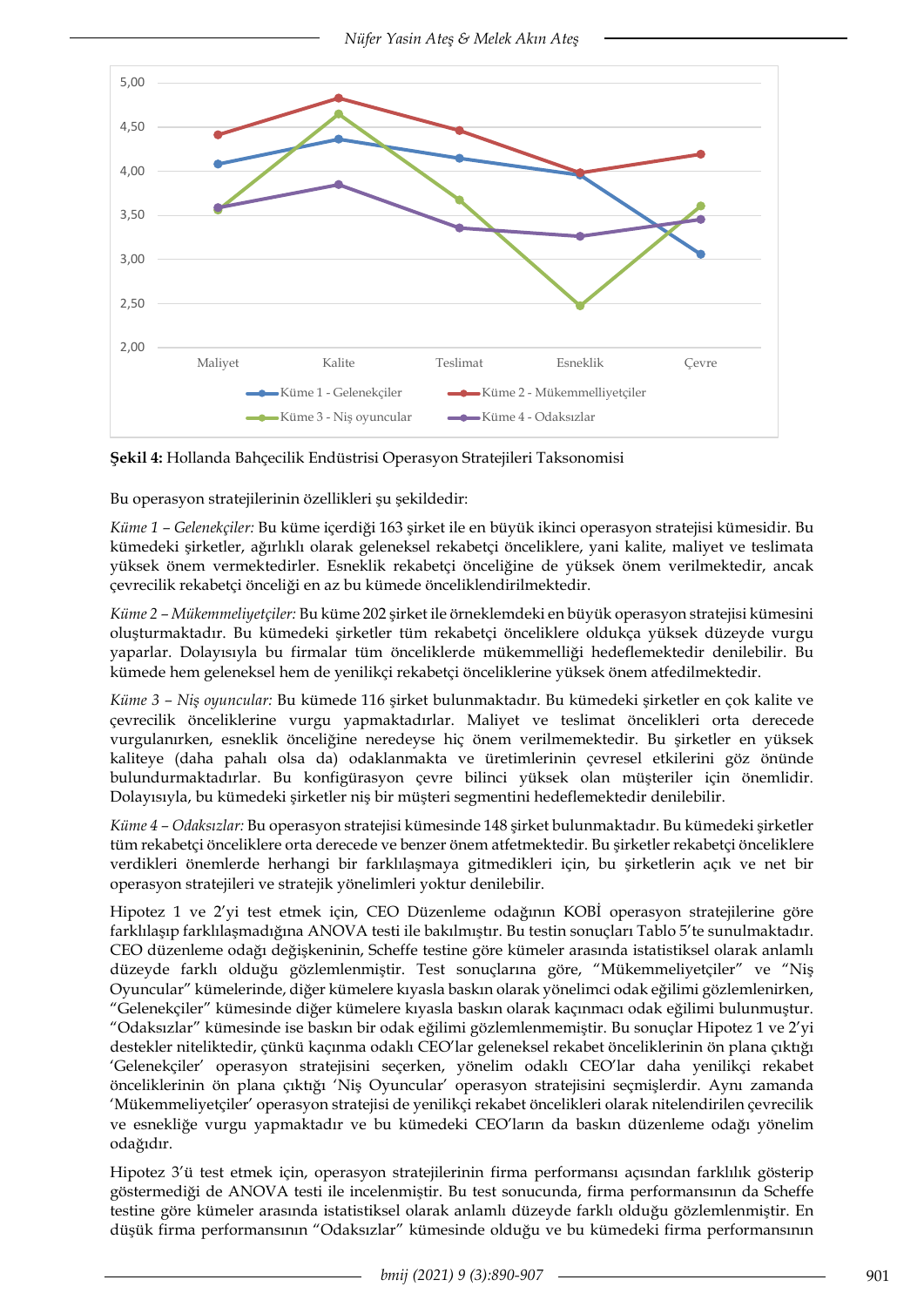*Nüfer Yasin Ateş & Melek Akın Ateş*



**Şekil 4:** Hollanda Bahçecilik Endüstrisi Operasyon Stratejileri Taksonomisi

Bu operasyon stratejilerinin özellikleri şu şekildedir:

*Küme 1 – Gelenekçiler:* Bu küme içerdiği 163 şirket ile en büyük ikinci operasyon stratejisi kümesidir. Bu kümedeki şirketler, ağırlıklı olarak geleneksel rekabetçi önceliklere, yani kalite, maliyet ve teslimata yüksek önem vermektedirler. Esneklik rekabetçi önceliğine de yüksek önem verilmektedir, ancak çevrecilik rekabetçi önceliği en az bu kümede önceliklendirilmektedir.

*Küme 2 – Mükemmeliyetçiler:* Bu küme 202 şirket ile örneklemdeki en büyük operasyon stratejisi kümesini oluşturmaktadır. Bu kümedeki şirketler tüm rekabetçi önceliklere oldukça yüksek düzeyde vurgu yaparlar. Dolayısıyla bu firmalar tüm önceliklerde mükemmelliği hedeflemektedir denilebilir. Bu kümede hem geleneksel hem de yenilikçi rekabetçi önceliklerine yüksek önem atfedilmektedir.

*Küme 3 – Niş oyuncular:* Bu kümede 116 şirket bulunmaktadır. Bu kümedeki şirketler en çok kalite ve çevrecilik önceliklerine vurgu yapmaktadırlar. Maliyet ve teslimat öncelikleri orta derecede vurgulanırken, esneklik önceliğine neredeyse hiç önem verilmemektedir. Bu şirketler en yüksek kaliteye (daha pahalı olsa da) odaklanmakta ve üretimlerinin çevresel etkilerini göz önünde bulundurmaktadırlar. Bu konfigürasyon çevre bilinci yüksek olan müşteriler için önemlidir. Dolayısıyla, bu kümedeki şirketler niş bir müşteri segmentini hedeflemektedir denilebilir.

*Küme 4 – Odaksızlar:* Bu operasyon stratejisi kümesinde 148 şirket bulunmaktadır. Bu kümedeki şirketler tüm rekabetçi önceliklere orta derecede ve benzer önem atfetmektedir. Bu şirketler rekabetçi önceliklere verdikleri önemlerde herhangi bir farklılaşmaya gitmedikleri için, bu şirketlerin açık ve net bir operasyon stratejileri ve stratejik yönelimleri yoktur denilebilir.

Hipotez 1 ve 2'yi test etmek için, CEO Düzenleme odağının KOBİ operasyon stratejilerine göre farklılaşıp farklılaşmadığına ANOVA testi ile bakılmıştır. Bu testin sonuçları Tablo 5'te sunulmaktadır. CEO düzenleme odağı değişkeninin, Scheffe testine göre kümeler arasında istatistiksel olarak anlamlı düzeyde farklı olduğu gözlemlenmiştir. Test sonuçlarına göre, "Mükemmeliyetçiler" ve "Niş Oyuncular" kümelerinde, diğer kümelere kıyasla baskın olarak yönelimci odak eğilimi gözlemlenirken, "Gelenekçiler" kümesinde diğer kümelere kıyasla baskın olarak kaçınmacı odak eğilimi bulunmuştur. "Odaksızlar" kümesinde ise baskın bir odak eğilimi gözlemlenmemiştir. Bu sonuçlar Hipotez 1 ve 2'yi destekler niteliktedir, çünkü kaçınma odaklı CEO'lar geleneksel rekabet önceliklerinin ön plana çıktığı 'Gelenekçiler' operasyon stratejisini seçerken, yönelim odaklı CEO'lar daha yenilikçi rekabet önceliklerinin ön plana çıktığı 'Niş Oyuncular' operasyon stratejisini seçmişlerdir. Aynı zamanda 'Mükemmeliyetçiler' operasyon stratejisi de yenilikçi rekabet öncelikleri olarak nitelendirilen çevrecilik ve esnekliğe vurgu yapmaktadır ve bu kümedeki CEO'ların da baskın düzenleme odağı yönelim odağıdır.

Hipotez 3'ü test etmek için, operasyon stratejilerinin firma performansı açısından farklılık gösterip göstermediği de ANOVA testi ile incelenmiştir. Bu test sonucunda, firma performansının da Scheffe testine göre kümeler arasında istatistiksel olarak anlamlı düzeyde farklı olduğu gözlemlenmiştir. En düşük firma performansının "Odaksızlar" kümesinde olduğu ve bu kümedeki firma performansının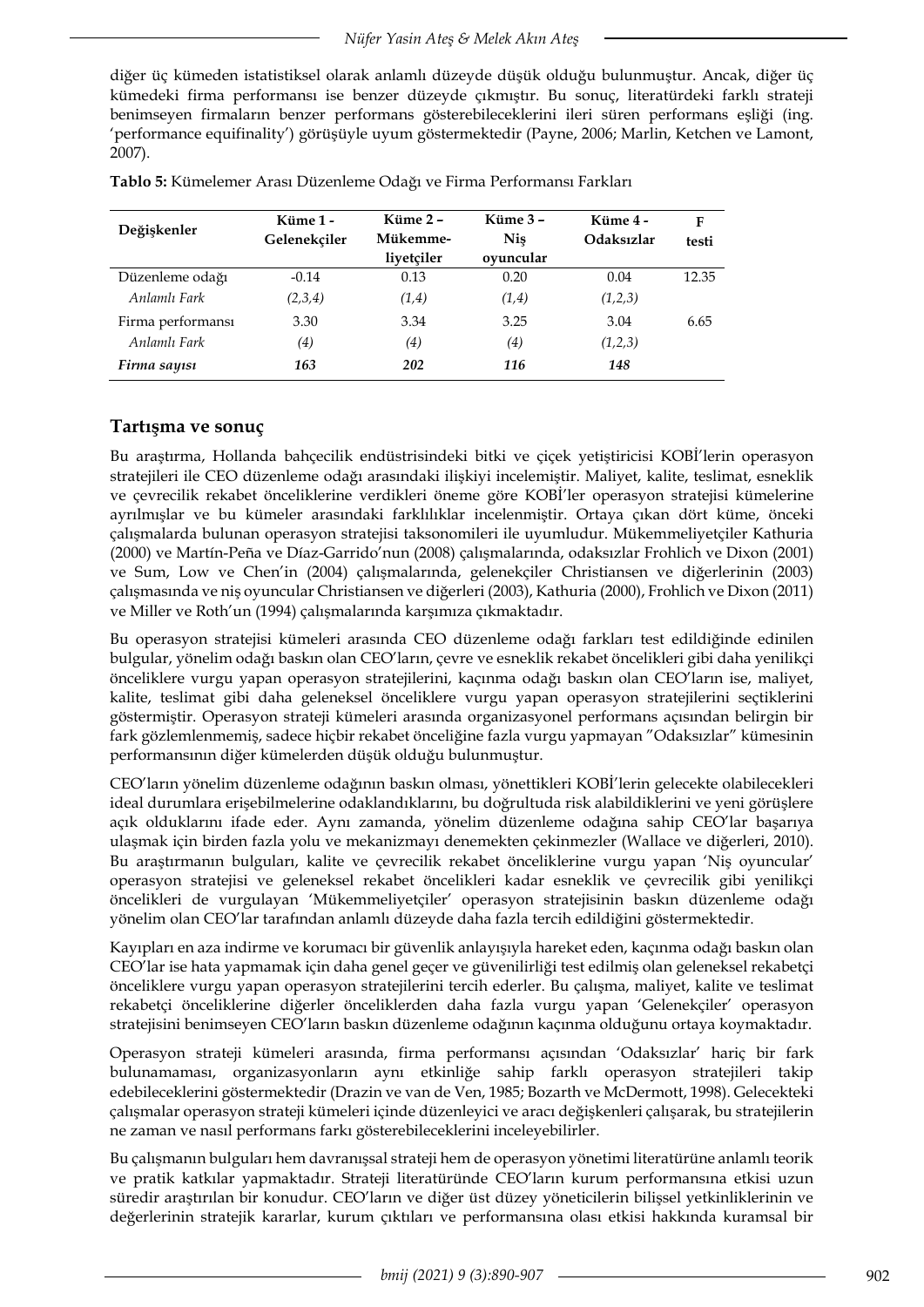diğer üç kümeden istatistiksel olarak anlamlı düzeyde düşük olduğu bulunmuştur. Ancak, diğer üç kümedeki firma performansı ise benzer düzeyde çıkmıştır. Bu sonuç, literatürdeki farklı strateji benimseyen firmaların benzer performans gösterebileceklerini ileri süren performans eşliği (ing. 'performance equifinality') görüşüyle uyum göstermektedir (Payne, 2006; Marlin, Ketchen ve Lamont, 2007).

| Değişkenler       | Küme 1 -<br>Gelenekciler | Küme $2 -$<br>Mükemme- | Küme $3 -$<br><b>Nis</b> | Küme 4 -<br><b>Odaksizlar</b> | F<br>testi |
|-------------------|--------------------------|------------------------|--------------------------|-------------------------------|------------|
|                   |                          | liyetçiler             | ovuncular                |                               |            |
| Düzenleme odağı   | $-0.14$                  | 0.13                   | 0.20                     | 0.04                          | 12.35      |
| Anlamlı Fark      | (2,3,4)                  | (1,4)                  | (1,4)                    | (1,2,3)                       |            |
| Firma performansı | 3.30                     | 3.34                   | 3.25                     | 3.04                          | 6.65       |
| Anlamlı Fark      | (4)                      | (4)                    | (4)                      | (1,2,3)                       |            |
| Firma sayısı      | 163                      | 202                    | 116                      | 148                           |            |

**Tablo 5:** Kümelemer Arası Düzenleme Odağı ve Firma Performansı Farkları

## **Tartışma ve sonuç**

Bu araştırma, Hollanda bahçecilik endüstrisindeki bitki ve çiçek yetiştiricisi KOBİ'lerin operasyon stratejileri ile CEO düzenleme odağı arasındaki ilişkiyi incelemiştir. Maliyet, kalite, teslimat, esneklik ve çevrecilik rekabet önceliklerine verdikleri öneme göre KOBİ'ler operasyon stratejisi kümelerine ayrılmışlar ve bu kümeler arasındaki farklılıklar incelenmiştir. Ortaya çıkan dört küme, önceki çalışmalarda bulunan operasyon stratejisi taksonomileri ile uyumludur. Mükemmeliyetçiler Kathuria (2000) ve Martín-Peña ve Díaz-Garrido'nun (2008) çalışmalarında, odaksızlar Frohlich ve Dixon (2001) ve Sum, Low ve Chen'in (2004) çalışmalarında, gelenekçiler Christiansen ve diğerlerinin (2003) çalışmasında ve niş oyuncular Christiansen ve diğerleri (2003), Kathuria (2000), Frohlich ve Dixon (2011) ve Miller ve Roth'un (1994) çalışmalarında karşımıza çıkmaktadır.

Bu operasyon stratejisi kümeleri arasında CEO düzenleme odağı farkları test edildiğinde edinilen bulgular, yönelim odağı baskın olan CEO'ların, çevre ve esneklik rekabet öncelikleri gibi daha yenilikçi önceliklere vurgu yapan operasyon stratejilerini, kaçınma odağı baskın olan CEO'ların ise, maliyet, kalite, teslimat gibi daha geleneksel önceliklere vurgu yapan operasyon stratejilerini seçtiklerini göstermiştir. Operasyon strateji kümeleri arasında organizasyonel performans açısından belirgin bir fark gözlemlenmemiş, sadece hiçbir rekabet önceliğine fazla vurgu yapmayan "Odaksızlar" kümesinin performansının diğer kümelerden düşük olduğu bulunmuştur.

CEO'ların yönelim düzenleme odağının baskın olması, yönettikleri KOBİ'lerin gelecekte olabilecekleri ideal durumlara erişebilmelerine odaklandıklarını, bu doğrultuda risk alabildiklerini ve yeni görüşlere açık olduklarını ifade eder. Aynı zamanda, yönelim düzenleme odağına sahip CEO'lar başarıya ulaşmak için birden fazla yolu ve mekanizmayı denemekten çekinmezler (Wallace ve diğerleri, 2010). Bu araştırmanın bulguları, kalite ve çevrecilik rekabet önceliklerine vurgu yapan 'Niş oyuncular' operasyon stratejisi ve geleneksel rekabet öncelikleri kadar esneklik ve çevrecilik gibi yenilikçi öncelikleri de vurgulayan 'Mükemmeliyetçiler' operasyon stratejisinin baskın düzenleme odağı yönelim olan CEO'lar tarafından anlamlı düzeyde daha fazla tercih edildiğini göstermektedir.

Kayıpları en aza indirme ve korumacı bir güvenlik anlayışıyla hareket eden, kaçınma odağı baskın olan CEO'lar ise hata yapmamak için daha genel geçer ve güvenilirliği test edilmiş olan geleneksel rekabetçi önceliklere vurgu yapan operasyon stratejilerini tercih ederler. Bu çalışma, maliyet, kalite ve teslimat rekabetçi önceliklerine diğerler önceliklerden daha fazla vurgu yapan 'Gelenekçiler' operasyon stratejisini benimseyen CEO'ların baskın düzenleme odağının kaçınma olduğunu ortaya koymaktadır.

Operasyon strateji kümeleri arasında, firma performansı açısından 'Odaksızlar' hariç bir fark bulunamaması, organizasyonların aynı etkinliğe sahip farklı operasyon stratejileri takip edebileceklerini göstermektedir (Drazin ve van de Ven, 1985; Bozarth ve McDermott, 1998). Gelecekteki çalışmalar operasyon strateji kümeleri içinde düzenleyici ve aracı değişkenleri çalışarak, bu stratejilerin ne zaman ve nasıl performans farkı gösterebileceklerini inceleyebilirler.

Bu çalışmanın bulguları hem davranışsal strateji hem de operasyon yönetimi literatürüne anlamlı teorik ve pratik katkılar yapmaktadır. Strateji literatüründe CEO'ların kurum performansına etkisi uzun süredir araştırılan bir konudur. CEO'ların ve diğer üst düzey yöneticilerin bilişsel yetkinliklerinin ve değerlerinin stratejik kararlar, kurum çıktıları ve performansına olası etkisi hakkında kuramsal bir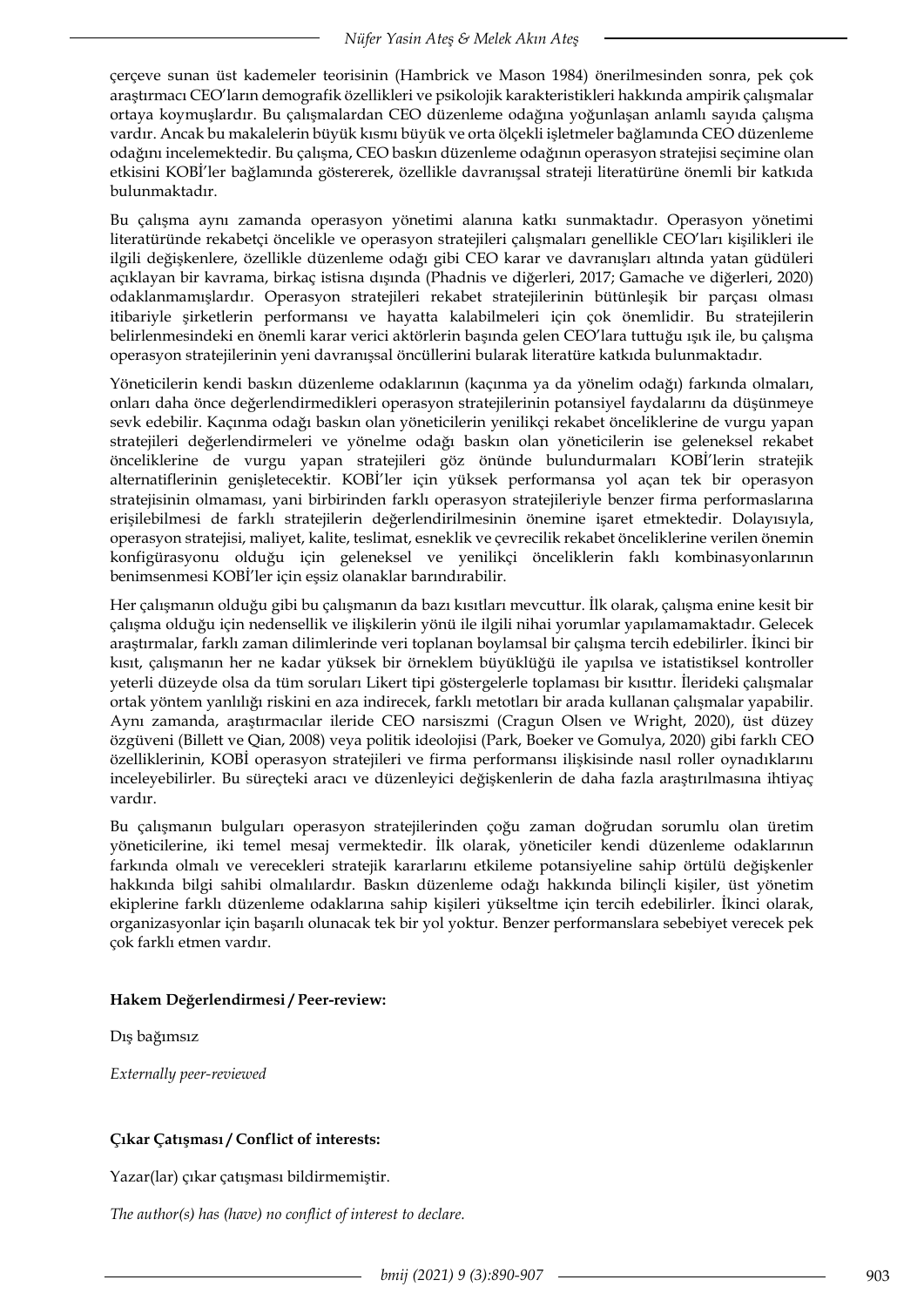çerçeve sunan üst kademeler teorisinin (Hambrick ve Mason 1984) önerilmesinden sonra, pek çok araştırmacı CEO'ların demografik özellikleri ve psikolojik karakteristikleri hakkında ampirik çalışmalar ortaya koymuşlardır. Bu çalışmalardan CEO düzenleme odağına yoğunlaşan anlamlı sayıda çalışma vardır. Ancak bu makalelerin büyük kısmı büyük ve orta ölçekli işletmeler bağlamında CEO düzenleme odağını incelemektedir. Bu çalışma, CEO baskın düzenleme odağının operasyon stratejisi seçimine olan etkisini KOBİ'ler bağlamında göstererek, özellikle davranışsal strateji literatürüne önemli bir katkıda bulunmaktadır.

Bu çalışma aynı zamanda operasyon yönetimi alanına katkı sunmaktadır. Operasyon yönetimi literatüründe rekabetçi öncelikle ve operasyon stratejileri çalışmaları genellikle CEO'ları kişilikleri ile ilgili değişkenlere, özellikle düzenleme odağı gibi CEO karar ve davranışları altında yatan güdüleri açıklayan bir kavrama, birkaç istisna dışında (Phadnis ve diğerleri, 2017; Gamache ve diğerleri, 2020) odaklanmamışlardır. Operasyon stratejileri rekabet stratejilerinin bütünleşik bir parçası olması itibariyle şirketlerin performansı ve hayatta kalabilmeleri için çok önemlidir. Bu stratejilerin belirlenmesindeki en önemli karar verici aktörlerin başında gelen CEO'lara tuttuğu ışık ile, bu çalışma operasyon stratejilerinin yeni davranışsal öncüllerini bularak literatüre katkıda bulunmaktadır.

Yöneticilerin kendi baskın düzenleme odaklarının (kaçınma ya da yönelim odağı) farkında olmaları, onları daha önce değerlendirmedikleri operasyon stratejilerinin potansiyel faydalarını da düşünmeye sevk edebilir. Kaçınma odağı baskın olan yöneticilerin yenilikçi rekabet önceliklerine de vurgu yapan stratejileri değerlendirmeleri ve yönelme odağı baskın olan yöneticilerin ise geleneksel rekabet önceliklerine de vurgu yapan stratejileri göz önünde bulundurmaları KOBİ'lerin stratejik alternatiflerinin genişletecektir. KOBİ'ler için yüksek performansa yol açan tek bir operasyon stratejisinin olmaması, yani birbirinden farklı operasyon stratejileriyle benzer firma performaslarına erişilebilmesi de farklı stratejilerin değerlendirilmesinin önemine işaret etmektedir. Dolayısıyla, operasyon stratejisi, maliyet, kalite, teslimat, esneklik ve çevrecilik rekabet önceliklerine verilen önemin konfigürasyonu olduğu için geleneksel ve yenilikçi önceliklerin faklı kombinasyonlarının benimsenmesi KOBİ'ler için eşsiz olanaklar barındırabilir.

Her çalışmanın olduğu gibi bu çalışmanın da bazı kısıtları mevcuttur. İlk olarak, çalışma enine kesit bir çalışma olduğu için nedensellik ve ilişkilerin yönü ile ilgili nihai yorumlar yapılamamaktadır. Gelecek araştırmalar, farklı zaman dilimlerinde veri toplanan boylamsal bir çalışma tercih edebilirler. İkinci bir kısıt, çalışmanın her ne kadar yüksek bir örneklem büyüklüğü ile yapılsa ve istatistiksel kontroller yeterli düzeyde olsa da tüm soruları Likert tipi göstergelerle toplaması bir kısıttır. İlerideki çalışmalar ortak yöntem yanlılığı riskini en aza indirecek, farklı metotları bir arada kullanan çalışmalar yapabilir. Aynı zamanda, araştırmacılar ileride CEO narsiszmi (Cragun Olsen ve Wright, 2020), üst düzey özgüveni (Billett ve Qian, 2008) veya politik ideolojisi (Park, Boeker ve Gomulya, 2020) gibi farklı CEO özelliklerinin, KOBİ operasyon stratejileri ve firma performansı ilişkisinde nasıl roller oynadıklarını inceleyebilirler. Bu süreçteki aracı ve düzenleyici değişkenlerin de daha fazla araştırılmasına ihtiyaç vardır.

Bu çalışmanın bulguları operasyon stratejilerinden çoğu zaman doğrudan sorumlu olan üretim yöneticilerine, iki temel mesaj vermektedir. İlk olarak, yöneticiler kendi düzenleme odaklarının farkında olmalı ve verecekleri stratejik kararlarını etkileme potansiyeline sahip örtülü değişkenler hakkında bilgi sahibi olmalılardır. Baskın düzenleme odağı hakkında bilinçli kişiler, üst yönetim ekiplerine farklı düzenleme odaklarına sahip kişileri yükseltme için tercih edebilirler. İkinci olarak, organizasyonlar için başarılı olunacak tek bir yol yoktur. Benzer performanslara sebebiyet verecek pek çok farklı etmen vardır.

### **Hakem Değerlendirmesi / Peer-review:**

Dış bağımsız

*Externally peer-reviewed*

### **Çıkar Çatışması / Conflict of interests:**

Yazar(lar) çıkar çatışması bildirmemiştir.

*The author(s) has (have) no conflict of interest to declare.*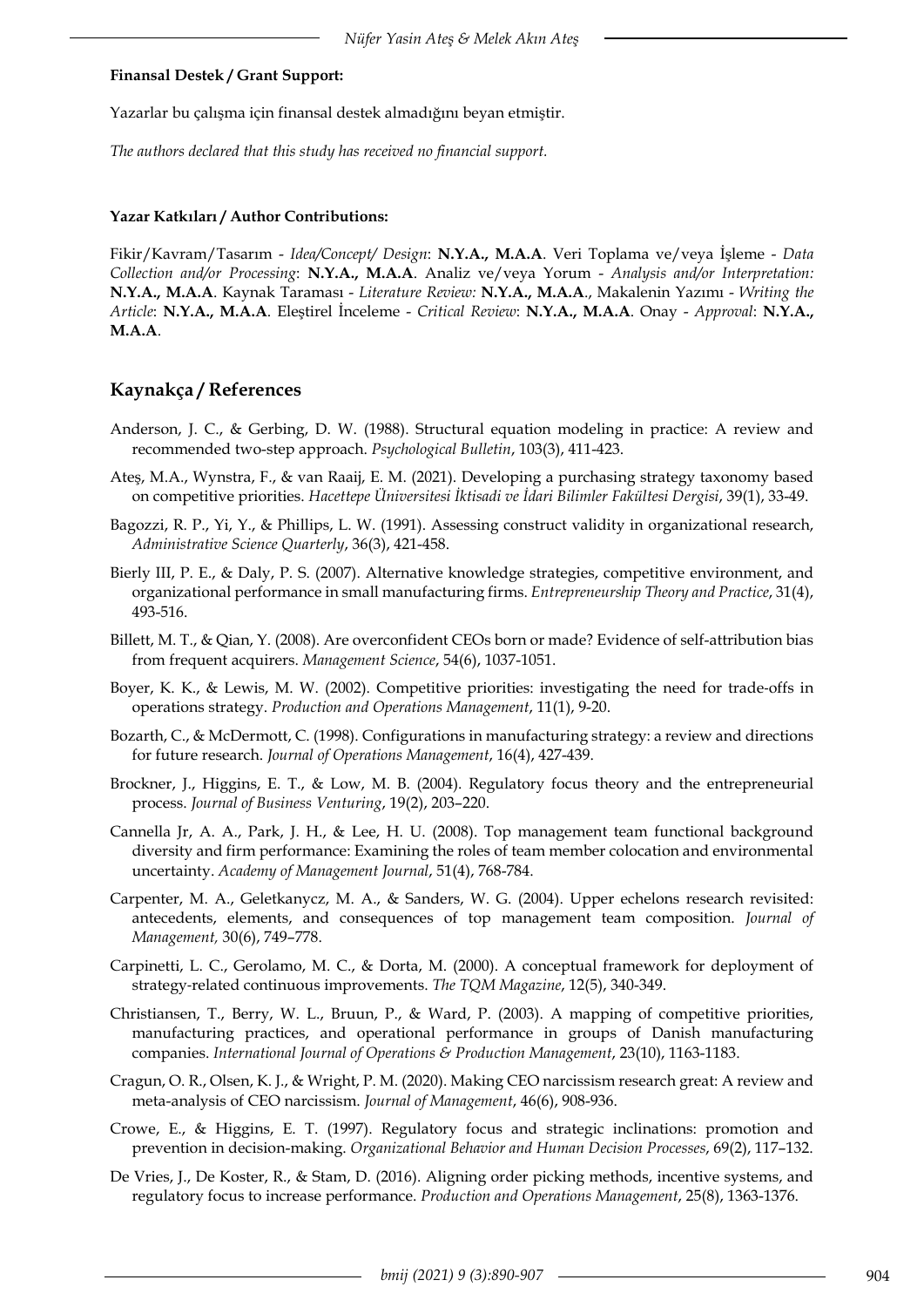#### **Finansal Destek / Grant Support:**

Yazarlar bu çalışma için finansal destek almadığını beyan etmiştir.

*The authors declared that this study has received no financial support.*

#### **Yazar Katkıları / Author Contributions:**

Fikir/Kavram/Tasarım - *Idea/Concept/ Design*: **N.Y.A., M.A.A**. Veri Toplama ve/veya İşleme - *Data Collection and/or Processing*: **N.Y.A., M.A.A**. Analiz ve/veya Yorum - *Analysis and/or Interpretation:* **N.Y.A., M.A.A**. Kaynak Taraması - *Literature Review:* **N.Y.A., M.A.A**., Makalenin Yazımı - *Writing the Article*: **N.Y.A., M.A.A**. Eleştirel İnceleme - *Critical Review*: **N.Y.A., M.A.A**. Onay - *Approval*: **N.Y.A., M.A.A**.

### **Kaynakça / References**

- Anderson, J. C., & Gerbing, D. W. (1988). Structural equation modeling in practice: A review and recommended two-step approach. *Psychological Bulletin*, 103(3), 411-423.
- Ateş, M.A., Wynstra, F., & van Raaij, E. M. (2021). Developing a purchasing strategy taxonomy based on competitive priorities. *Hacettepe Üniversitesi İktisadi ve İdari Bilimler Fakültesi Dergisi*, 39(1), 33-49.
- Bagozzi, R. P., Yi, Y., & Phillips, L. W. (1991). Assessing construct validity in organizational research, *Administrative Science Quarterly*, 36(3), 421-458.
- Bierly III, P. E., & Daly, P. S. (2007). Alternative knowledge strategies, competitive environment, and organizational performance in small manufacturing firms. *Entrepreneurship Theory and Practice*, 31(4), 493-516.
- Billett, M. T., & Qian, Y. (2008). Are overconfident CEOs born or made? Evidence of self-attribution bias from frequent acquirers. *Management Science*, 54(6), 1037-1051.
- Boyer, K. K., & Lewis, M. W. (2002). Competitive priorities: investigating the need for trade‐offs in operations strategy. *Production and Operations Management*, 11(1), 9-20.
- Bozarth, C., & McDermott, C. (1998). Configurations in manufacturing strategy: a review and directions for future research. *Journal of Operations Management*, 16(4), 427-439.
- Brockner, J., Higgins, E. T., & Low, M. B. (2004). Regulatory focus theory and the entrepreneurial process. *Journal of Business Venturing*, 19(2), 203–220.
- Cannella Jr, A. A., Park, J. H., & Lee, H. U. (2008). Top management team functional background diversity and firm performance: Examining the roles of team member colocation and environmental uncertainty. *Academy of Management Journal*, 51(4), 768-784.
- Carpenter, M. A., Geletkanycz, M. A., & Sanders, W. G. (2004). Upper echelons research revisited: antecedents, elements, and consequences of top management team composition. *Journal of Management,* 30(6), 749–778.
- Carpinetti, L. C., Gerolamo, M. C., & Dorta, M. (2000). A conceptual framework for deployment of strategy‐related continuous improvements. *The TQM Magazine*, 12(5), 340-349.
- Christiansen, T., Berry, W. L., Bruun, P., & Ward, P. (2003). A mapping of competitive priorities, manufacturing practices, and operational performance in groups of Danish manufacturing companies. *International Journal of Operations & Production Management*, 23(10), 1163-1183.
- Cragun, O. R., Olsen, K. J., & Wright, P. M. (2020). Making CEO narcissism research great: A review and meta-analysis of CEO narcissism. *Journal of Management*, 46(6), 908-936.
- Crowe, E., & Higgins, E. T. (1997). Regulatory focus and strategic inclinations: promotion and prevention in decision-making. *Organizational Behavior and Human Decision Processes*, 69(2), 117–132.
- De Vries, J., De Koster, R., & Stam, D. (2016). Aligning order picking methods, incentive systems, and regulatory focus to increase performance. *Production and Operations Management*, 25(8), 1363-1376.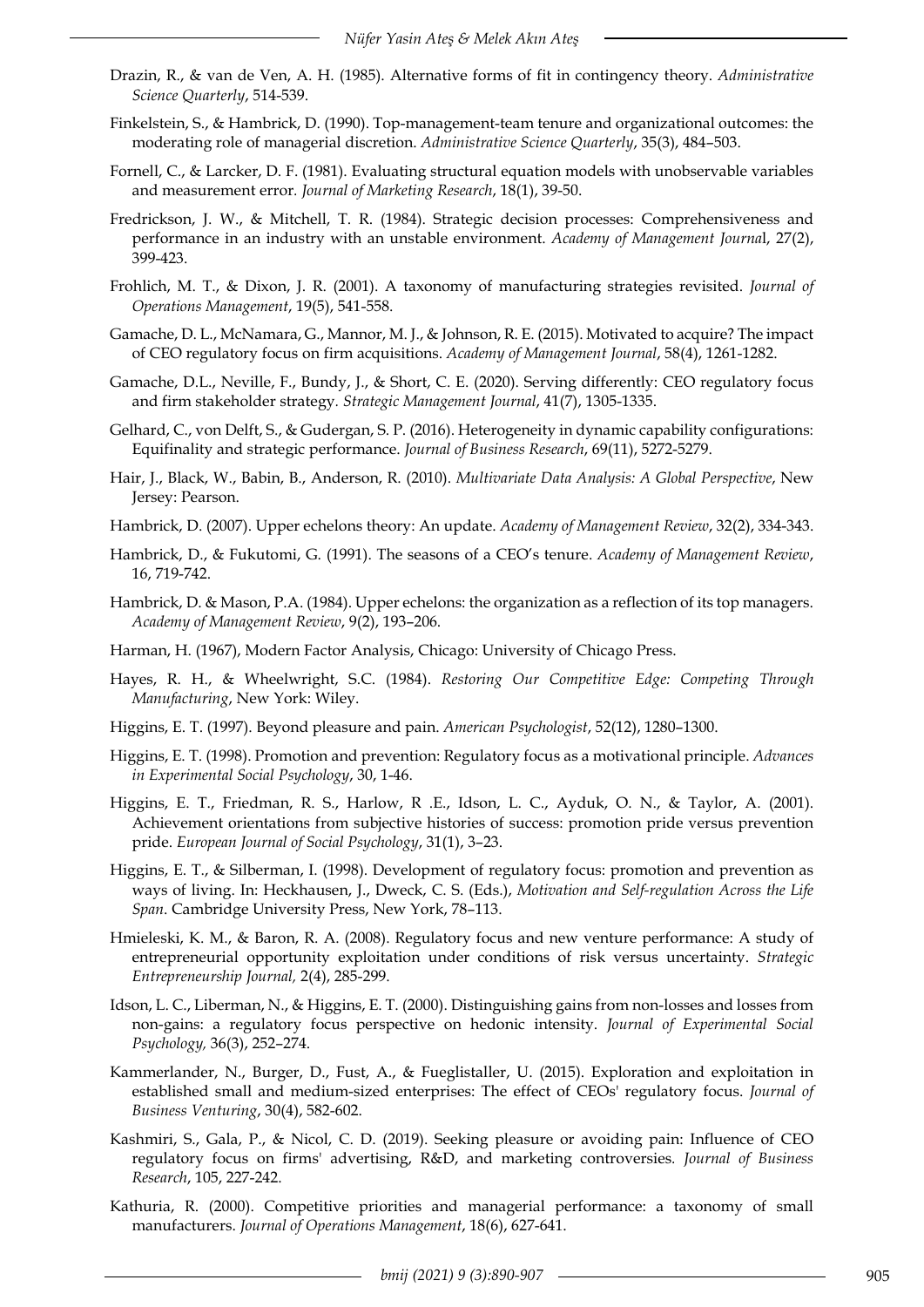- Drazin, R., & van de Ven, A. H. (1985). Alternative forms of fit in contingency theory. *Administrative Science Quarterly*, 514-539.
- Finkelstein, S., & Hambrick, D. (1990). Top-management-team tenure and organizational outcomes: the moderating role of managerial discretion. *Administrative Science Quarterly*, 35(3), 484–503.
- Fornell, C., & Larcker, D. F. (1981). Evaluating structural equation models with unobservable variables and measurement error*. Journal of Marketing Research*, 18(1), 39-50.
- Fredrickson, J. W., & Mitchell, T. R. (1984). Strategic decision processes: Comprehensiveness and performance in an industry with an unstable environment. *Academy of Management Journa*l, 27(2), 399-423.
- Frohlich, M. T., & Dixon, J. R. (2001). A taxonomy of manufacturing strategies revisited. *Journal of Operations Management*, 19(5), 541-558.
- Gamache, D. L., McNamara, G., Mannor, M. J., & Johnson, R. E. (2015). Motivated to acquire? The impact of CEO regulatory focus on firm acquisitions. *Academy of Management Journal*, 58(4), 1261-1282.
- Gamache, D.L., Neville, F., Bundy, J., & Short, C. E. (2020). Serving differently: CEO regulatory focus and firm stakeholder strategy*. Strategic Management Journal*, 41(7), 1305-1335.
- Gelhard, C., von Delft, S., & Gudergan, S. P. (2016). Heterogeneity in dynamic capability configurations: Equifinality and strategic performance. *Journal of Business Research*, 69(11), 5272-5279.
- Hair, J., Black, W., Babin, B., Anderson, R. (2010). *Multivariate Data Analysis: A Global Perspective*, New Jersey: Pearson.
- Hambrick, D. (2007). Upper echelons theory: An update. *Academy of Management Review*, 32(2), 334-343.
- Hambrick, D., & Fukutomi, G. (1991). The seasons of a CEO's tenure. *Academy of Management Review*, 16, 719-742.
- Hambrick, D. & Mason, P.A. (1984). Upper echelons: the organization as a reflection of its top managers. *Academy of Management Review*, 9(2), 193–206.
- Harman, H. (1967), Modern Factor Analysis, Chicago: University of Chicago Press.
- Hayes, R. H., & Wheelwright, S.C. (1984). *Restoring Our Competitive Edge: Competing Through Manufacturing*, New York: Wiley.
- Higgins, E. T. (1997). Beyond pleasure and pain. *American Psychologist*, 52(12), 1280–1300.
- Higgins, E. T. (1998). Promotion and prevention: Regulatory focus as a motivational principle. *Advances in Experimental Social Psychology*, 30, 1-46.
- Higgins, E. T., Friedman, R. S., Harlow, R .E., Idson, L. C., Ayduk, O. N., & Taylor, A. (2001). Achievement orientations from subjective histories of success: promotion pride versus prevention pride. *European Journal of Social Psychology*, 31(1), 3–23.
- Higgins, E. T., & Silberman, I. (1998). Development of regulatory focus: promotion and prevention as ways of living. In: Heckhausen, J., Dweck, C. S. (Eds.), *Motivation and Self-regulation Across the Life Span*. Cambridge University Press, New York, 78–113.
- Hmieleski, K. M., & Baron, R. A. (2008). Regulatory focus and new venture performance: A study of entrepreneurial opportunity exploitation under conditions of risk versus uncertainty. *Strategic Entrepreneurship Journal,* 2(4), 285-299.
- Idson, L. C., Liberman, N., & Higgins, E. T. (2000). Distinguishing gains from non-losses and losses from non-gains: a regulatory focus perspective on hedonic intensity. *Journal of Experimental Social Psychology,* 36(3), 252–274.
- Kammerlander, N., Burger, D., Fust, A., & Fueglistaller, U. (2015). Exploration and exploitation in established small and medium-sized enterprises: The effect of CEOs' regulatory focus. *Journal of Business Venturing*, 30(4), 582-602.
- Kashmiri, S., Gala, P., & Nicol, C. D. (2019). Seeking pleasure or avoiding pain: Influence of CEO regulatory focus on firms' advertising, R&D, and marketing controversies*. Journal of Business Research*, 105, 227-242.
- Kathuria, R. (2000). Competitive priorities and managerial performance: a taxonomy of small manufacturers. *Journal of Operations Management*, 18(6), 627-641.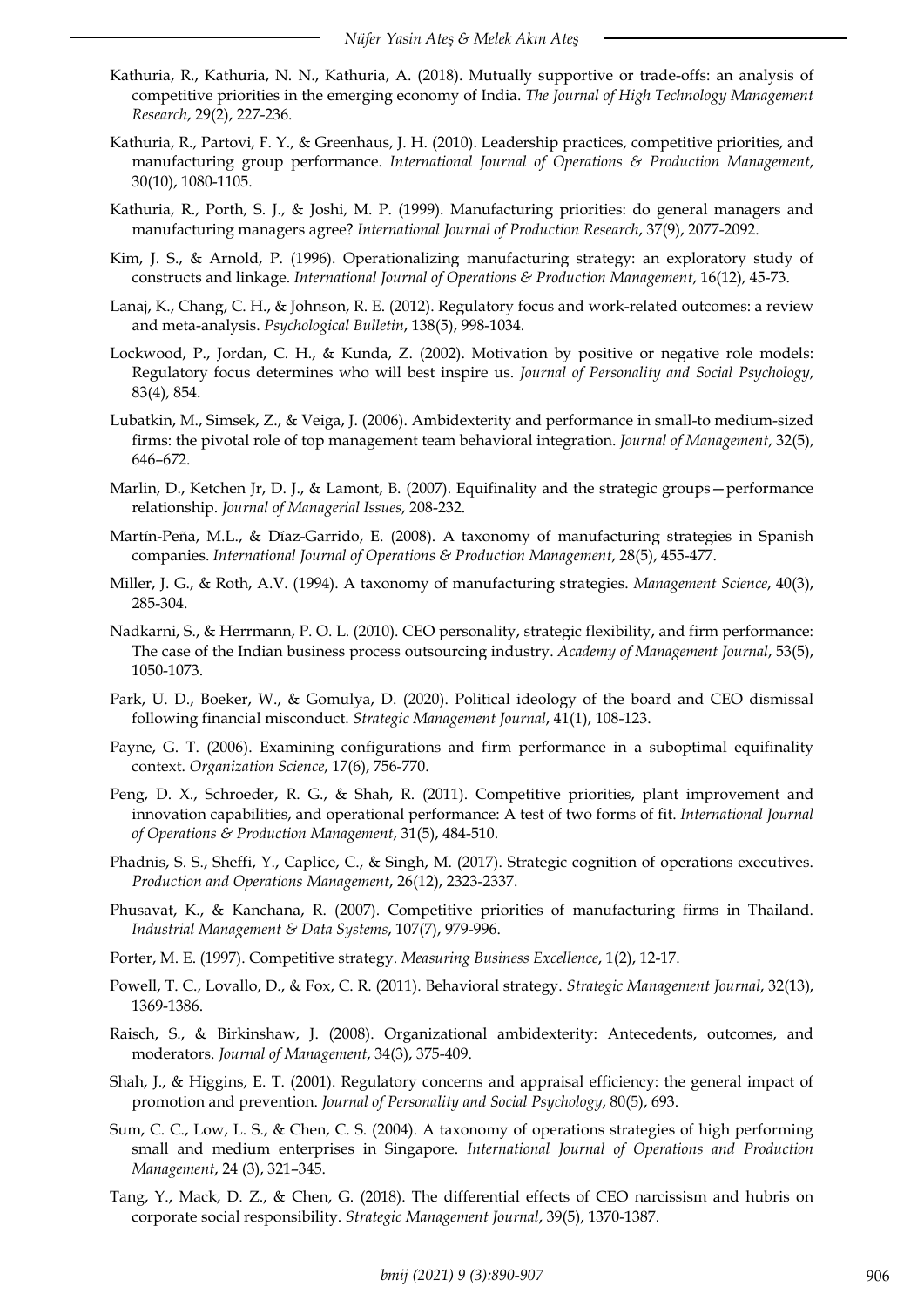- Kathuria, R., Kathuria, N. N., Kathuria, A. (2018). Mutually supportive or trade-offs: an analysis of competitive priorities in the emerging economy of India. *The Journal of High Technology Management Research*, 29(2), 227-236.
- Kathuria, R., Partovi, F. Y., & Greenhaus, J. H. (2010). Leadership practices, competitive priorities, and manufacturing group performance. *International Journal of Operations & Production Management*, 30(10), 1080-1105.
- Kathuria, R., Porth, S. J., & Joshi, M. P. (1999). Manufacturing priorities: do general managers and manufacturing managers agree? *International Journal of Production Research*, 37(9), 2077-2092.
- Kim, J. S., & Arnold, P. (1996). Operationalizing manufacturing strategy: an exploratory study of constructs and linkage. *International Journal of Operations & Production Management*, 16(12), 45-73.
- Lanaj, K., Chang, C. H., & Johnson, R. E. (2012). Regulatory focus and work-related outcomes: a review and meta-analysis. *Psychological Bulletin*, 138(5), 998-1034.
- Lockwood, P., Jordan, C. H., & Kunda, Z. (2002). Motivation by positive or negative role models: Regulatory focus determines who will best inspire us. *Journal of Personality and Social Psychology*, 83(4), 854.
- Lubatkin, M., Simsek, Z., & Veiga, J. (2006). Ambidexterity and performance in small-to medium-sized firms: the pivotal role of top management team behavioral integration. *Journal of Management*, 32(5), 646–672.
- Marlin, D., Ketchen Jr, D. J., & Lamont, B. (2007). Equifinality and the strategic groups—performance relationship. *Journal of Managerial Issues*, 208-232.
- Martín-Peña, M.L., & Díaz-Garrido, E. (2008). A taxonomy of manufacturing strategies in Spanish companies. *International Journal of Operations & Production Management*, 28(5), 455-477.
- Miller, J. G., & Roth, A.V. (1994). A taxonomy of manufacturing strategies. *Management Science*, 40(3), 285-304.
- Nadkarni, S., & Herrmann, P. O. L. (2010). CEO personality, strategic flexibility, and firm performance: The case of the Indian business process outsourcing industry. *Academy of Management Journal*, 53(5), 1050-1073.
- Park, U. D., Boeker, W., & Gomulya, D. (2020). Political ideology of the board and CEO dismissal following financial misconduct. *Strategic Management Journal*, 41(1), 108-123.
- Payne, G. T. (2006). Examining configurations and firm performance in a suboptimal equifinality context. *Organization Science*, 17(6), 756-770.
- Peng, D. X., Schroeder, R. G., & Shah, R. (2011). Competitive priorities, plant improvement and innovation capabilities, and operational performance: A test of two forms of fit. *International Journal of Operations & Production Management*, 31(5), 484-510.
- Phadnis, S. S., Sheffi, Y., Caplice, C., & Singh, M. (2017). Strategic cognition of operations executives. *Production and Operations Management*, 26(12), 2323-2337.
- Phusavat, K., & Kanchana, R. (2007). Competitive priorities of manufacturing firms in Thailand. *Industrial Management & Data Systems*, 107(7), 979-996.
- Porter, M. E. (1997). Competitive strategy. *Measuring Business Excellence*, 1(2), 12-17.
- Powell, T. C., Lovallo, D., & Fox, C. R. (2011). Behavioral strategy. *Strategic Management Journal*, 32(13), 1369-1386.
- Raisch, S., & Birkinshaw, J. (2008). Organizational ambidexterity: Antecedents, outcomes, and moderators. *Journal of Management*, 34(3), 375-409.
- Shah, J., & Higgins, E. T. (2001). Regulatory concerns and appraisal efficiency: the general impact of promotion and prevention. *Journal of Personality and Social Psychology*, 80(5), 693.
- Sum, C. C., Low, L. S., & Chen, C. S. (2004). A taxonomy of operations strategies of high performing small and medium enterprises in Singapore. *International Journal of Operations and Production Management*, 24 (3), 321–345.
- Tang, Y., Mack, D. Z., & Chen, G. (2018). The differential effects of CEO narcissism and hubris on corporate social responsibility. *Strategic Management Journal*, 39(5), 1370-1387.